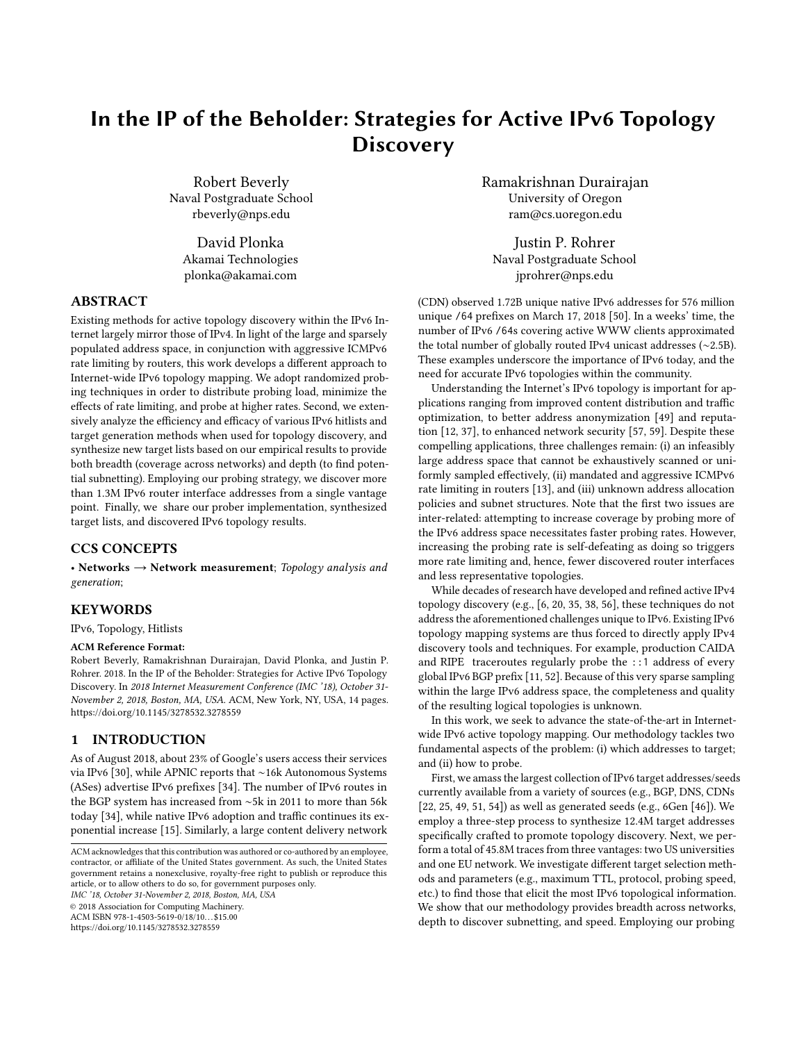# In the IP of the Beholder: Strategies for Active IPv6 Topology **Discovery**

Robert Beverly Naval Postgraduate School rbeverly@nps.edu

David Plonka Akamai Technologies plonka@akamai.com

#### ABSTRACT

Existing methods for active topology discovery within the IPv6 Internet largely mirror those of IPv4. In light of the large and sparsely populated address space, in conjunction with aggressive ICMPv6 rate limiting by routers, this work develops a different approach to Internet-wide IPv6 topology mapping. We adopt randomized probing techniques in order to distribute probing load, minimize the effects of rate limiting, and probe at higher rates. Second, we extensively analyze the efficiency and efficacy of various IPv6 hitlists and target generation methods when used for topology discovery, and synthesize new target lists based on our empirical results to provide both breadth (coverage across networks) and depth (to find potential subnetting). Employing our probing strategy, we discover more than 1.3M IPv6 router interface addresses from a single vantage point. Finally, we share our prober implementation, synthesized target lists, and discovered IPv6 topology results.

# CCS CONCEPTS

• Networks  $\rightarrow$  Network measurement; Topology analysis and generation;

# **KEYWORDS**

IPv6, Topology, Hitlists

#### ACM Reference Format:

Robert Beverly, Ramakrishnan Durairajan, David Plonka, and Justin P. Rohrer. 2018. In the IP of the Beholder: Strategies for Active IPv6 Topology Discovery. In 2018 Internet Measurement Conference (IMC '18), October 31- November 2, 2018, Boston, MA, USA. ACM, New York, NY, USA, [14](#page-13-0) pages. <https://doi.org/10.1145/3278532.3278559>

## 1 INTRODUCTION

As of August 2018, about 23% of Google's users access their services via IPv6 [\[30\]](#page-13-1), while APNIC reports that ∼16k Autonomous Systems (ASes) advertise IPv6 prefixes [\[34\]](#page-13-2). The number of IPv6 routes in the BGP system has increased from ∼5k in 2011 to more than 56k today [\[34\]](#page-13-2), while native IPv6 adoption and traffic continues its exponential increase [\[15\]](#page-13-3). Similarly, a large content delivery network

IMC '18, October 31-November 2, 2018, Boston, MA, USA

© 2018 Association for Computing Machinery.

ACM ISBN 978-1-4503-5619-0/18/10...\$15.00

<https://doi.org/10.1145/3278532.3278559>

Ramakrishnan Durairajan University of Oregon ram@cs.uoregon.edu

Justin P. Rohrer Naval Postgraduate School jprohrer@nps.edu

(CDN) observed 1.72B unique native IPv6 addresses for 576 million unique /64 prefixes on March 17, 2018 [\[50\]](#page-13-4). In a weeks' time, the number of IPv6 /64s covering active WWW clients approximated the total number of globally routed IPv4 unicast addresses (∼2.5B). These examples underscore the importance of IPv6 today, and the need for accurate IPv6 topologies within the community.

Understanding the Internet's IPv6 topology is important for applications ranging from improved content distribution and traffic optimization, to better address anonymization [\[49\]](#page-13-5) and reputation [\[12,](#page-13-6) [37\]](#page-13-7), to enhanced network security [\[57,](#page-13-8) [59\]](#page-13-9). Despite these compelling applications, three challenges remain: (i) an infeasibly large address space that cannot be exhaustively scanned or uniformly sampled effectively, (ii) mandated and aggressive ICMPv6 rate limiting in routers [\[13\]](#page-13-10), and (iii) unknown address allocation policies and subnet structures. Note that the first two issues are inter-related: attempting to increase coverage by probing more of the IPv6 address space necessitates faster probing rates. However, increasing the probing rate is self-defeating as doing so triggers more rate limiting and, hence, fewer discovered router interfaces and less representative topologies.

While decades of research have developed and refined active IPv4 topology discovery (e.g., [\[6,](#page-13-11) [20,](#page-13-12) [35,](#page-13-13) [38,](#page-13-14) [56\]](#page-13-15), these techniques do not address the aforementioned challenges unique to IPv6. Existing IPv6 topology mapping systems are thus forced to directly apply IPv4 discovery tools and techniques. For example, production CAIDA and RIPE traceroutes regularly probe the ::1 address of every global IPv6 BGP prefix [\[11,](#page-13-16) [52\]](#page-13-17). Because of this very sparse sampling within the large IPv6 address space, the completeness and quality of the resulting logical topologies is unknown.

In this work, we seek to advance the state-of-the-art in Internetwide IPv6 active topology mapping. Our methodology tackles two fundamental aspects of the problem: (i) which addresses to target; and (ii) how to probe.

First, we amass the largest collection of IPv6 target addresses/seeds currently available from a variety of sources (e.g., BGP, DNS, CDNs [\[22,](#page-13-18) [25,](#page-13-19) [49,](#page-13-5) [51,](#page-13-20) [54\]](#page-13-21)) as well as generated seeds (e.g., 6Gen [\[46\]](#page-13-22)). We employ a three-step process to synthesize 12.4M target addresses specifically crafted to promote topology discovery. Next, we perform a total of 45.8M traces from three vantages: two US universities and one EU network. We investigate different target selection methods and parameters (e.g., maximum TTL, protocol, probing speed, etc.) to find those that elicit the most IPv6 topological information. We show that our methodology provides breadth across networks, depth to discover subnetting, and speed. Employing our probing

ACM acknowledges that this contribution was authored or co-authored by an employee, contractor, or affiliate of the United States government. As such, the United States government retains a nonexclusive, royalty-free right to publish or reproduce this article, or to allow others to do so, for government purposes only.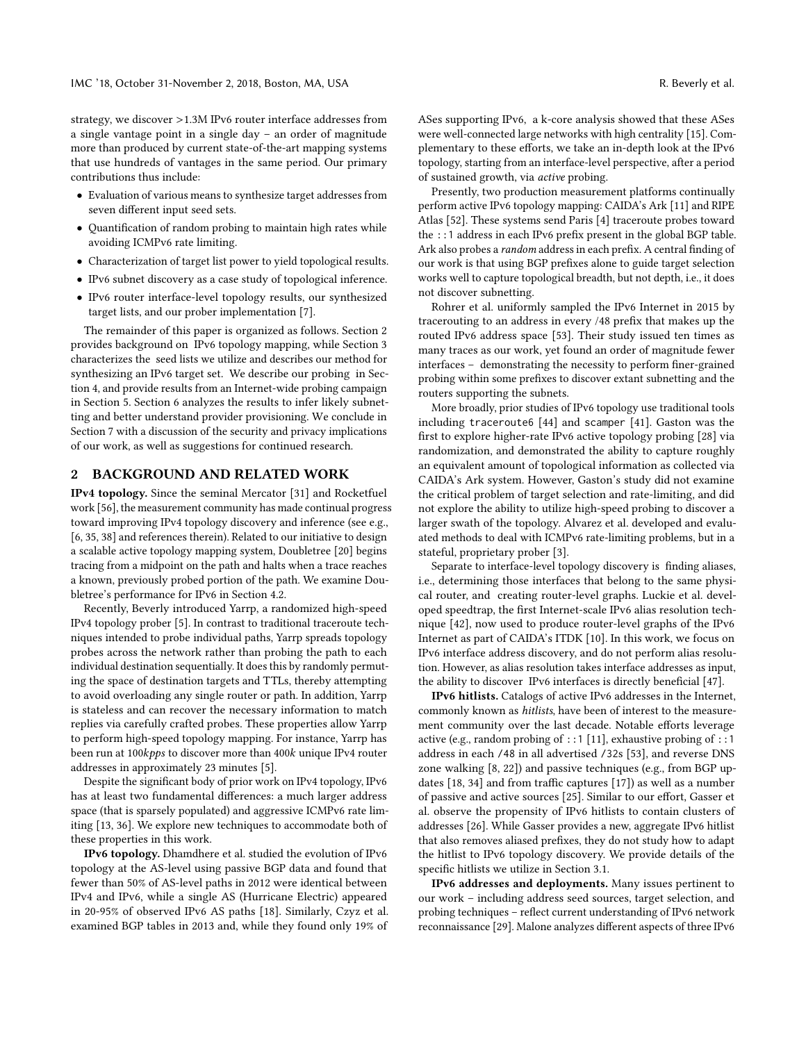strategy, we discover >1.3M IPv6 router interface addresses from a single vantage point in a single day – an order of magnitude more than produced by current state-of-the-art mapping systems that use hundreds of vantages in the same period. Our primary contributions thus include:

- Evaluation of various means to synthesize target addresses from seven different input seed sets.
- Quantification of random probing to maintain high rates while avoiding ICMPv6 rate limiting.
- Characterization of target list power to yield topological results.
- IPv6 subnet discovery as a case study of topological inference.
- IPv6 router interface-level topology results, our synthesized target lists, and our prober implementation [\[7\]](#page-13-23).

The remainder of this paper is organized as follows. Section [2](#page-1-0) provides background on IPv6 topology mapping, while Section [3](#page-2-0) characterizes the seed lists we utilize and describes our method for synthesizing an IPv6 target set. We describe our probing in Section [4,](#page-5-0) and provide results from an Internet-wide probing campaign in Section [5.](#page-8-0) Section [6](#page-10-0) analyzes the results to infer likely subnetting and better understand provider provisioning. We conclude in Section [7](#page-12-0) with a discussion of the security and privacy implications of our work, as well as suggestions for continued research.

#### <span id="page-1-0"></span>2 BACKGROUND AND RELATED WORK

IPv4 topology. Since the seminal Mercator [\[31\]](#page-13-24) and Rocketfuel work [\[56\]](#page-13-15), the measurement community has made continual progress toward improving IPv4 topology discovery and inference (see e.g., [\[6,](#page-13-11) [35,](#page-13-13) [38\]](#page-13-14) and references therein). Related to our initiative to design a scalable active topology mapping system, Doubletree [\[20\]](#page-13-12) begins tracing from a midpoint on the path and halts when a trace reaches a known, previously probed portion of the path. We examine Doubletree's performance for IPv6 in Section [4.2.](#page-6-0)

Recently, Beverly introduced Yarrp, a randomized high-speed IPv4 topology prober [\[5\]](#page-13-25). In contrast to traditional traceroute techniques intended to probe individual paths, Yarrp spreads topology probes across the network rather than probing the path to each individual destination sequentially. It does this by randomly permuting the space of destination targets and TTLs, thereby attempting to avoid overloading any single router or path. In addition, Yarrp is stateless and can recover the necessary information to match replies via carefully crafted probes. These properties allow Yarrp to perform high-speed topology mapping. For instance, Yarrp has been run at 100kpps to discover more than 400k unique IPv4 router addresses in approximately 23 minutes [\[5\]](#page-13-25).

Despite the significant body of prior work on IPv4 topology, IPv6 has at least two fundamental differences: a much larger address space (that is sparsely populated) and aggressive ICMPv6 rate limiting [\[13,](#page-13-10) [36\]](#page-13-26). We explore new techniques to accommodate both of these properties in this work.

IPv6 topology. Dhamdhere et al. studied the evolution of IPv6 topology at the AS-level using passive BGP data and found that fewer than 50% of AS-level paths in 2012 were identical between IPv4 and IPv6, while a single AS (Hurricane Electric) appeared in 20-95% of observed IPv6 AS paths [\[18\]](#page-13-27). Similarly, Czyz et al. examined BGP tables in 2013 and, while they found only 19% of ASes supporting IPv6, a k-core analysis showed that these ASes were well-connected large networks with high centrality [\[15\]](#page-13-3). Complementary to these efforts, we take an in-depth look at the IPv6 topology, starting from an interface-level perspective, after a period of sustained growth, via active probing.

Presently, two production measurement platforms continually perform active IPv6 topology mapping: CAIDA's Ark [\[11\]](#page-13-16) and RIPE Atlas [\[52\]](#page-13-17). These systems send Paris [\[4\]](#page-13-28) traceroute probes toward the ::1 address in each IPv6 prefix present in the global BGP table. Ark also probes a random address in each prefix. A central finding of our work is that using BGP prefixes alone to guide target selection works well to capture topological breadth, but not depth, i.e., it does not discover subnetting.

Rohrer et al. uniformly sampled the IPv6 Internet in 2015 by tracerouting to an address in every /48 prefix that makes up the routed IPv6 address space [\[53\]](#page-13-29). Their study issued ten times as many traces as our work, yet found an order of magnitude fewer interfaces – demonstrating the necessity to perform finer-grained probing within some prefixes to discover extant subnetting and the routers supporting the subnets.

More broadly, prior studies of IPv6 topology use traditional tools including traceroute6 [\[44\]](#page-13-30) and scamper [\[41\]](#page-13-31). Gaston was the first to explore higher-rate IPv6 active topology probing [\[28\]](#page-13-32) via randomization, and demonstrated the ability to capture roughly an equivalent amount of topological information as collected via CAIDA's Ark system. However, Gaston's study did not examine the critical problem of target selection and rate-limiting, and did not explore the ability to utilize high-speed probing to discover a larger swath of the topology. Alvarez et al. developed and evaluated methods to deal with ICMPv6 rate-limiting problems, but in a stateful, proprietary prober [\[3\]](#page-13-33).

Separate to interface-level topology discovery is finding aliases, i.e., determining those interfaces that belong to the same physical router, and creating router-level graphs. Luckie et al. developed speedtrap, the first Internet-scale IPv6 alias resolution technique [\[42\]](#page-13-34), now used to produce router-level graphs of the IPv6 Internet as part of CAIDA's ITDK [\[10\]](#page-13-35). In this work, we focus on IPv6 interface address discovery, and do not perform alias resolution. However, as alias resolution takes interface addresses as input, the ability to discover IPv6 interfaces is directly beneficial [\[47\]](#page-13-36).

IPv6 hitlists. Catalogs of active IPv6 addresses in the Internet, commonly known as hitlists, have been of interest to the measurement community over the last decade. Notable efforts leverage active (e.g., random probing of ::1 [\[11\]](#page-13-16), exhaustive probing of ::1 address in each /48 in all advertised /32s [\[53\]](#page-13-29), and reverse DNS zone walking [\[8,](#page-13-37) [22\]](#page-13-18)) and passive techniques (e.g., from BGP updates [\[18,](#page-13-27) [34\]](#page-13-2) and from traffic captures [\[17\]](#page-13-38)) as well as a number of passive and active sources [\[25\]](#page-13-19). Similar to our effort, Gasser et al. observe the propensity of IPv6 hitlists to contain clusters of addresses [\[26\]](#page-13-39). While Gasser provides a new, aggregate IPv6 hitlist that also removes aliased prefixes, they do not study how to adapt the hitlist to IPv6 topology discovery. We provide details of the specific hitlists we utilize in Section [3.1.](#page-2-1)

IPv6 addresses and deployments. Many issues pertinent to our work – including address seed sources, target selection, and probing techniques – reflect current understanding of IPv6 network reconnaissance [\[29\]](#page-13-40). Malone analyzes different aspects of three IPv6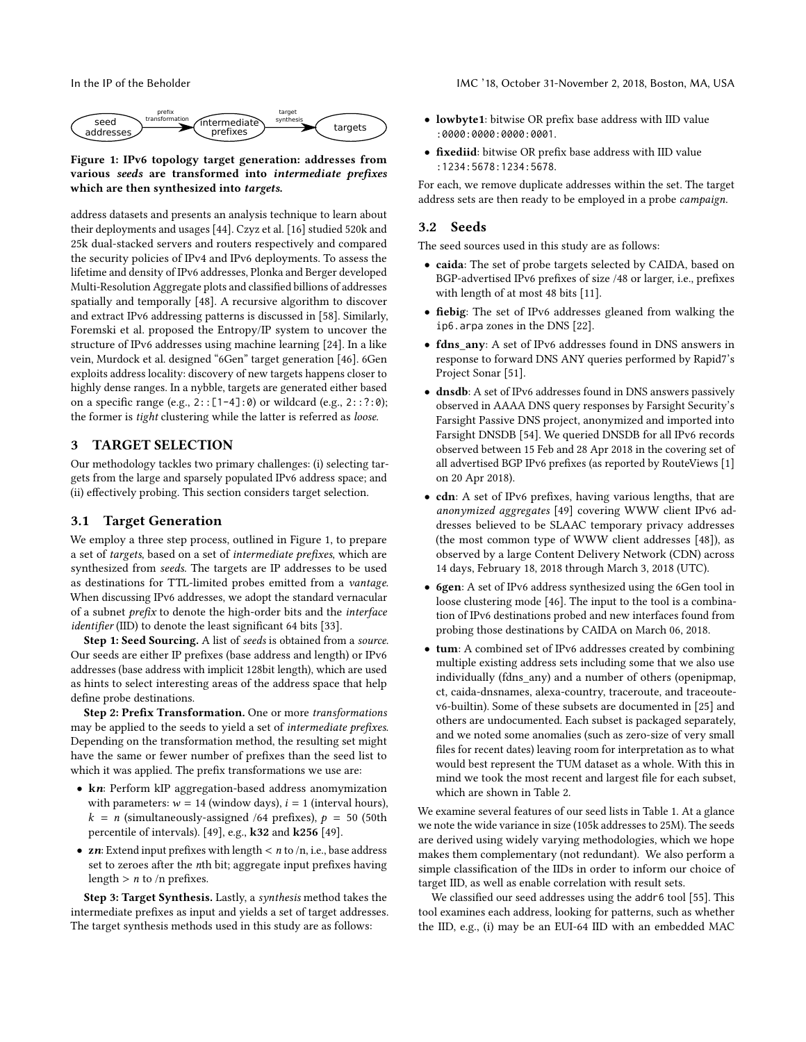<span id="page-2-2"></span>

#### Figure 1: IPv6 topology target generation: addresses from various seeds are transformed into intermediate prefixes which are then synthesized into targets.

address datasets and presents an analysis technique to learn about their deployments and usages [\[44\]](#page-13-30). Czyz et al. [\[16\]](#page-13-41) studied 520k and 25k dual-stacked servers and routers respectively and compared the security policies of IPv4 and IPv6 deployments. To assess the lifetime and density of IPv6 addresses, Plonka and Berger developed Multi-Resolution Aggregate plots and classified billions of addresses spatially and temporally [\[48\]](#page-13-42). A recursive algorithm to discover and extract IPv6 addressing patterns is discussed in [\[58\]](#page-13-43). Similarly, Foremski et al. proposed the Entropy/IP system to uncover the structure of IPv6 addresses using machine learning [\[24\]](#page-13-44). In a like vein, Murdock et al. designed "6Gen" target generation [\[46\]](#page-13-22). 6Gen exploits address locality: discovery of new targets happens closer to highly dense ranges. In a nybble, targets are generated either based on a specific range (e.g.,  $2$ :: $[1-4]$ :0) or wildcard (e.g.,  $2$ ::?:0); the former is tight clustering while the latter is referred as loose.

### <span id="page-2-0"></span>3 TARGET SELECTION

Our methodology tackles two primary challenges: (i) selecting targets from the large and sparsely populated IPv6 address space; and (ii) effectively probing. This section considers target selection.

## <span id="page-2-1"></span>3.1 Target Generation

We employ a three step process, outlined in Figure [1,](#page-2-2) to prepare a set of targets, based on a set of intermediate prefixes, which are synthesized from seeds. The targets are IP addresses to be used as destinations for TTL-limited probes emitted from a vantage. When discussing IPv6 addresses, we adopt the standard vernacular of a subnet prefix to denote the high-order bits and the interface identifier (IID) to denote the least significant 64 bits [\[33\]](#page-13-45).

Step 1: Seed Sourcing. A list of seeds is obtained from a source. Our seeds are either IP prefixes (base address and length) or IPv6 addresses (base address with implicit 128bit length), which are used as hints to select interesting areas of the address space that help define probe destinations.

Step 2: Prefix Transformation. One or more transformations may be applied to the seeds to yield a set of intermediate prefixes. Depending on the transformation method, the resulting set might have the same or fewer number of prefixes than the seed list to which it was applied. The prefix transformations we use are:

- kn: Perform kIP aggregation-based address anomymization with parameters:  $w = 14$  (window days),  $i = 1$  (interval hours),  $k = n$  (simultaneously-assigned /64 prefixes),  $p = 50$  (50th percentile of intervals). [\[49\]](#page-13-5), e.g., k32 and k256 [\[49\]](#page-13-5).
- zn: Extend input prefixes with length  $\lt n$  to  $/n$ , i.e., base address set to zeroes after the nth bit; aggregate input prefixes having length  $> n$  to /n prefixes.

Step 3: Target Synthesis. Lastly, a synthesis method takes the intermediate prefixes as input and yields a set of target addresses. The target synthesis methods used in this study are as follows:

- lowbyte1: bitwise OR prefix base address with IID value :0000:0000:0000:0001.
- fixediid: bitwise OR prefix base address with IID value :1234:5678:1234:5678.

For each, we remove duplicate addresses within the set. The target address sets are then ready to be employed in a probe campaign.

#### 3.2 Seeds

The seed sources used in this study are as follows:

- caida: The set of probe targets selected by CAIDA, based on BGP-advertised IPv6 prefixes of size /48 or larger, i.e., prefixes with length of at most 48 bits [\[11\]](#page-13-16).
- fiebig: The set of IPv6 addresses gleaned from walking the ip6.arpa zones in the DNS [\[22\]](#page-13-18).
- fdns any: A set of IPv6 addresses found in DNS answers in response to forward DNS ANY queries performed by Rapid7's Project Sonar [\[51\]](#page-13-20).
- dnsdb: A set of IPv6 addresses found in DNS answers passively observed in AAAA DNS query responses by Farsight Security's Farsight Passive DNS project, anonymized and imported into Farsight DNSDB [\[54\]](#page-13-21). We queried DNSDB for all IPv6 records observed between 15 Feb and 28 Apr 2018 in the covering set of all advertised BGP IPv6 prefixes (as reported by RouteViews [\[1\]](#page-13-46) on 20 Apr 2018).
- cdn: A set of IPv6 prefixes, having various lengths, that are anonymized aggregates [\[49\]](#page-13-5) covering WWW client IPv6 addresses believed to be SLAAC temporary privacy addresses (the most common type of WWW client addresses [\[48\]](#page-13-42)), as observed by a large Content Delivery Network (CDN) across 14 days, February 18, 2018 through March 3, 2018 (UTC).
- 6gen: A set of IPv6 address synthesized using the 6Gen tool in loose clustering mode [\[46\]](#page-13-22). The input to the tool is a combination of IPv6 destinations probed and new interfaces found from probing those destinations by CAIDA on March 06, 2018.
- tum: A combined set of IPv6 addresses created by combining multiple existing address sets including some that we also use individually (fdns any) and a number of others (openipmap, ct, caida-dnsnames, alexa-country, traceroute, and traceoutev6-builtin). Some of these subsets are documented in [\[25\]](#page-13-19) and others are undocumented. Each subset is packaged separately, and we noted some anomalies (such as zero-size of very small files for recent dates) leaving room for interpretation as to what would best represent the TUM dataset as a whole. With this in mind we took the most recent and largest file for each subset, which are shown in Table [2.](#page-3-0)

We examine several features of our seed lists in Table [1.](#page-3-1) At a glance we note the wide variance in size (105k addresses to 25M). The seeds are derived using widely varying methodologies, which we hope makes them complementary (not redundant). We also perform a simple classification of the IIDs in order to inform our choice of target IID, as well as enable correlation with result sets.

We classified our seed addresses using the addr6 tool [\[55\]](#page-13-47). This tool examines each address, looking for patterns, such as whether the IID, e.g., (i) may be an EUI-64 IID with an embedded MAC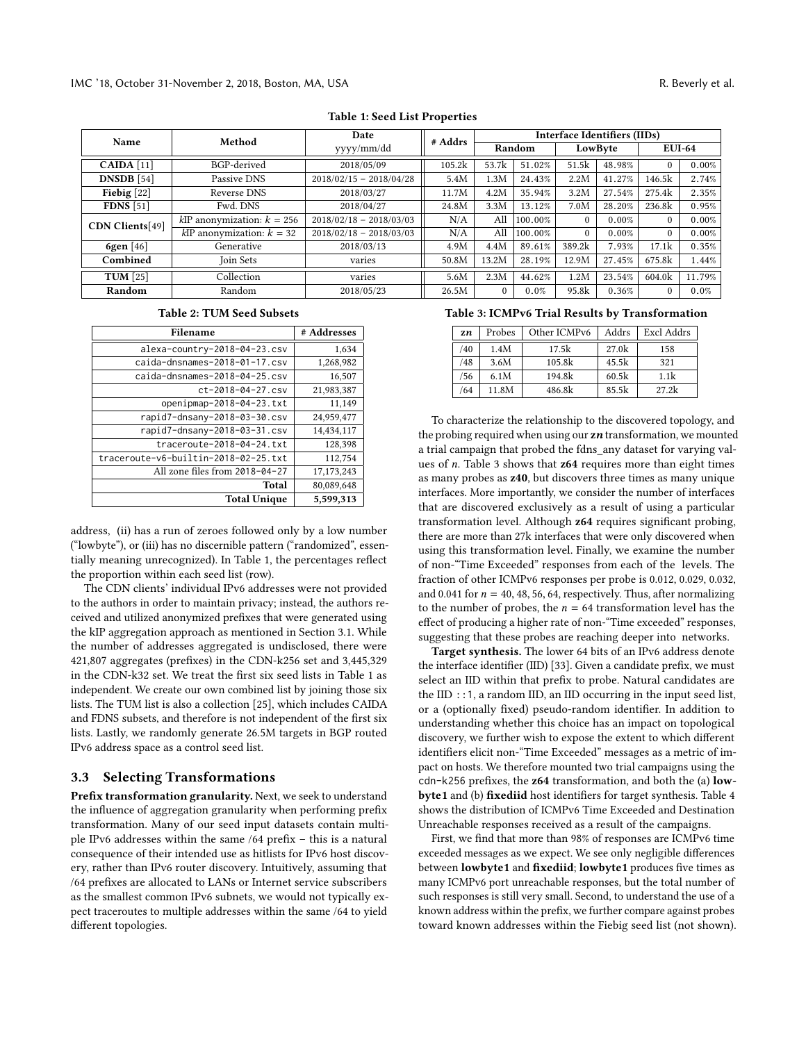<span id="page-3-1"></span>

| Name              | Method                         | Date                      | # Addrs | Interface Identifiers (IIDs) |         |          |        |               |          |  |  |
|-------------------|--------------------------------|---------------------------|---------|------------------------------|---------|----------|--------|---------------|----------|--|--|
|                   |                                | yyyy/mm/dd                |         | Random                       |         | LowByte  |        | <b>EUI-64</b> |          |  |  |
| $CAIDA$ [11]      | BGP-derived                    | 2018/05/09                | 105.2k  | 53.7k                        | 51.02%  | 51.5k    | 48.98% |               | $0.00\%$ |  |  |
| <b>DNSDB</b> [54] | Passive DNS                    | $2018/02/15 - 2018/04/28$ | 5.4M    | 1.3M                         | 24.43%  | 2.2M     | 41.27% | 146.5k        | 2.74%    |  |  |
| Fiebig $[22]$     | Reverse DNS                    | 2018/03/27                | 11.7M   | 4.2M                         | 35.94%  | 3.2M     | 27.54% | 275.4k        | 2.35%    |  |  |
| <b>FDNS</b> [51]  | Fwd. DNS                       | 2018/04/27                | 24.8M   | 3.3M                         | 13.12%  | 7.0M     | 28.20% | 236.8k        | 0.95%    |  |  |
| CDN Clients[49]   | $kIP$ anonymization: $k = 256$ | $2018/02/18 - 2018/03/03$ | N/A     | All                          | 100.00% | $\Omega$ | 0.00%  | $\theta$      | 0.00%    |  |  |
|                   | $k$ IP anonymization: $k = 32$ | $2018/02/18 - 2018/03/03$ | N/A     | All                          | 100.00% | $\Omega$ | 0.00%  | $\theta$      | $0.00\%$ |  |  |
| 6gen [46]         | Generative                     | 2018/03/13                | 4.9M    | 4.4M                         | 89.61%  | 389.2k   | 7.93%  | 17.1k         | 0.35%    |  |  |
| Combined          | Join Sets                      | varies                    | 50.8M   | 13.2M                        | 28.19%  | 12.9M    | 27.45% | 675.8k        | 1.44%    |  |  |
| TUM $[25]$        | Collection                     | varies                    | 5.6M    | 2.3M                         | 44.62%  | 1.2M     | 23.54% | 604.0k        | 11.79%   |  |  |
| Random            | Random                         | 2018/05/23                | 26.5M   | $\theta$                     | 0.0%    | 95.8k    | 0.36%  | $\Omega$      | $0.0\%$  |  |  |
|                   |                                |                           |         |                              |         |          |        |               |          |  |  |

Table 1: Seed List Properties

#### Table 2: TUM Seed Subsets

<span id="page-3-0"></span>

| Filename                             | # Addresses |
|--------------------------------------|-------------|
| alexa-country-2018-04-23.csv         | 1,634       |
| caida-dnsnames-2018-01-17.csv        | 1,268,982   |
| caida-dnsnames-2018-04-25.csv        | 16,507      |
| ct-2018-04-27.csv                    | 21,983,387  |
| openipmap-2018-04-23.txt             | 11,149      |
| rapid7-dnsany-2018-03-30.csv         | 24,959,477  |
| rapid7-dnsany-2018-03-31.csv         | 14,434,117  |
| traceroute-2018-04-24.txt            | 128,398     |
| traceroute-v6-builtin-2018-02-25.txt | 112,754     |
| All zone files from 2018-04-27       | 17,173,243  |
| Total                                | 80,089,648  |
| <b>Total Unique</b>                  | 5,599,313   |

address, (ii) has a run of zeroes followed only by a low number ("lowbyte"), or (iii) has no discernible pattern ("randomized", essentially meaning unrecognized). In Table [1,](#page-3-1) the percentages reflect the proportion within each seed list (row).

The CDN clients' individual IPv6 addresses were not provided to the authors in order to maintain privacy; instead, the authors received and utilized anonymized prefixes that were generated using the kIP aggregation approach as mentioned in Section [3.1.](#page-2-1) While the number of addresses aggregated is undisclosed, there were 421,807 aggregates (prefixes) in the CDN-k256 set and 3,445,329 in the CDN-k32 set. We treat the first six seed lists in Table [1](#page-3-1) as independent. We create our own combined list by joining those six lists. The TUM list is also a collection [\[25\]](#page-13-19), which includes CAIDA and FDNS subsets, and therefore is not independent of the first six lists. Lastly, we randomly generate 26.5M targets in BGP routed IPv6 address space as a control seed list.

#### <span id="page-3-3"></span>3.3 Selecting Transformations

Prefix transformation granularity. Next, we seek to understand the influence of aggregation granularity when performing prefix transformation. Many of our seed input datasets contain multiple IPv6 addresses within the same /64 prefix – this is a natural consequence of their intended use as hitlists for IPv6 host discovery, rather than IPv6 router discovery. Intuitively, assuming that /64 prefixes are allocated to LANs or Internet service subscribers as the smallest common IPv6 subnets, we would not typically expect traceroutes to multiple addresses within the same /64 to yield different topologies.

#### <span id="page-3-2"></span>Table 3: ICMPv6 Trial Results by Transformation

| zn | Probes | Other ICMPv6 | Addrs             | Excl Addrs |
|----|--------|--------------|-------------------|------------|
| 40 | 1.4M   | 17.5k        | 27.0 <sub>k</sub> | 158        |
| 48 | 3.6M   | 105.8k       | 45.5k             | 321        |
| 56 | 6.1M   | 194.8k       | 60.5k             | 1.1k       |
| 64 | 11.8M  | 486.8k       | 85.5k             | 27.2k      |

To characterize the relationship to the discovered topology, and the probing required when using our  $zn$  transformation, we mounted a trial campaign that probed the fdns\_any dataset for varying values of n. Table [3](#page-3-2) shows that z64 requires more than eight times as many probes as z40, but discovers three times as many unique interfaces. More importantly, we consider the number of interfaces that are discovered exclusively as a result of using a particular transformation level. Although z64 requires significant probing, there are more than 27k interfaces that were only discovered when using this transformation level. Finally, we examine the number of non-"Time Exceeded" responses from each of the levels. The fraction of other ICMPv6 responses per probe is 0.012, 0.029, 0.032, and 0.041 for  $n = 40, 48, 56, 64$ , respectively. Thus, after normalizing to the number of probes, the  $n = 64$  transformation level has the effect of producing a higher rate of non-"Time exceeded" responses, suggesting that these probes are reaching deeper into networks.

Target synthesis. The lower 64 bits of an IPv6 address denote the interface identifier (IID) [\[33\]](#page-13-45). Given a candidate prefix, we must select an IID within that prefix to probe. Natural candidates are the  $IID$  ::1, a random  $IID$ , an  $IID$  occurring in the input seed list, or a (optionally fixed) pseudo-random identifier. In addition to understanding whether this choice has an impact on topological discovery, we further wish to expose the extent to which different identifiers elicit non-"Time Exceeded" messages as a metric of impact on hosts. We therefore mounted two trial campaigns using the cdn-k256 prefixes, the z64 transformation, and both the (a) lowbyte1 and (b) fixediid host identifiers for target synthesis. Table [4](#page-4-0) shows the distribution of ICMPv6 Time Exceeded and Destination Unreachable responses received as a result of the campaigns.

First, we find that more than 98% of responses are ICMPv6 time exceeded messages as we expect. We see only negligible differences between lowbyte1 and fixediid; lowbyte1 produces five times as many ICMPv6 port unreachable responses, but the total number of such responses is still very small. Second, to understand the use of a known address within the prefix, we further compare against probes toward known addresses within the Fiebig seed list (not shown).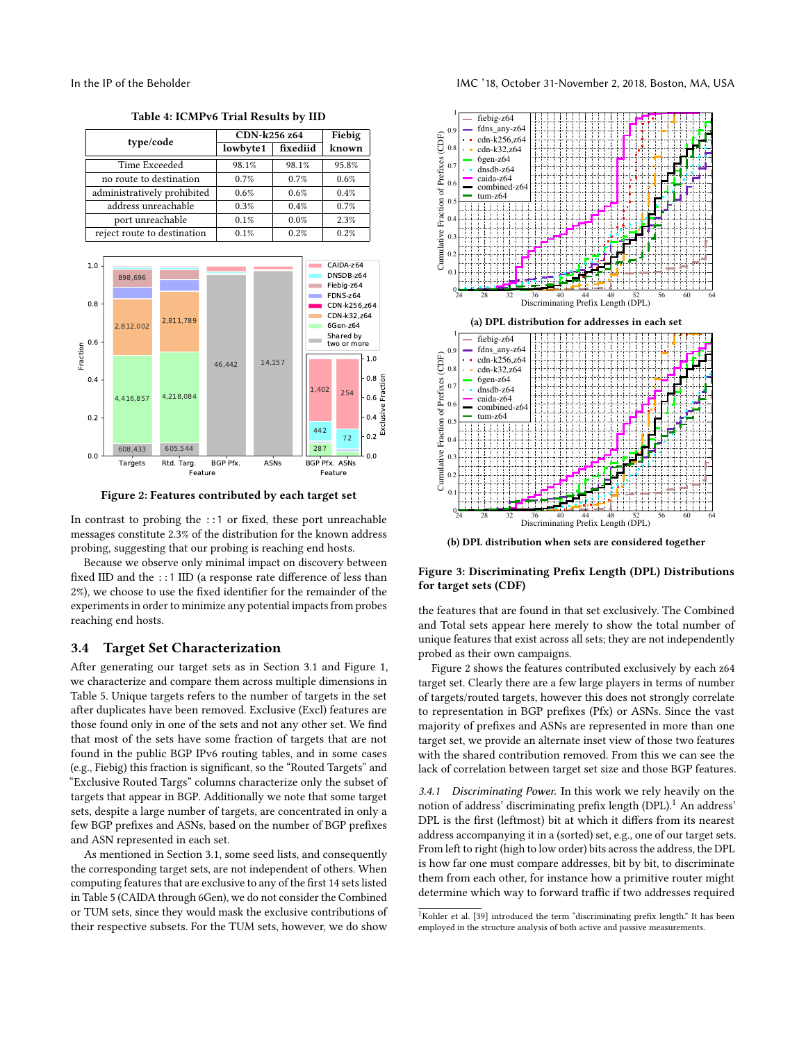type/code CDN-k256 z64 Fiebig  $lowbyte1$  fixediid Time Exceeded 98.1% 98.1% 95.8% no route to destination  $\begin{array}{|c|c|c|c|c|} \hline 0.7\% & 0.7\% & 0.6\% \hline \end{array}$ administratively prohibited 0.6% 0.6% 0.4% address unreachable 0.3% 0.4% 0.7% port unreachable  $0.1\%$  0.0% 2.3% reject route to destination  $\begin{array}{|c|c|c|c|c|c|} \hline 0.1\% & 0.2\% & 0.2\% \hline \end{array}$ 

<span id="page-4-3"></span>

<span id="page-4-1"></span>

Figure 2: Features contributed by each target set

In contrast to probing the ::1 or fixed, these port unreachable messages constitute 2.3% of the distribution for the known address probing, suggesting that our probing is reaching end hosts.

Because we observe only minimal impact on discovery between fixed IID and the ::1 IID (a response rate difference of less than 2%), we choose to use the fixed identifier for the remainder of the experiments in order to minimize any potential impacts from probes reaching end hosts.

#### 3.4 Target Set Characterization

After generating our target sets as in Section [3.1](#page-2-1) and Figure [1,](#page-2-2) we characterize and compare them across multiple dimensions in Table [5.](#page-5-1) Unique targets refers to the number of targets in the set after duplicates have been removed. Exclusive (Excl) features are those found only in one of the sets and not any other set. We find that most of the sets have some fraction of targets that are not found in the public BGP IPv6 routing tables, and in some cases (e.g., Fiebig) this fraction is significant, so the "Routed Targets" and "Exclusive Routed Targs" columns characterize only the subset of targets that appear in BGP. Additionally we note that some target sets, despite a large number of targets, are concentrated in only a few BGP prefixes and ASNs, based on the number of BGP prefixes and ASN represented in each set.

As mentioned in Section [3.1,](#page-2-1) some seed lists, and consequently the corresponding target sets, are not independent of others. When computing features that are exclusive to any of the first 14 sets listed in Table [5](#page-5-1) (CAIDA through 6Gen), we do not consider the Combined or TUM sets, since they would mask the exclusive contributions of

<span id="page-4-0"></span>

(b) DPL distribution when sets are considered together

## Figure 3: Discriminating Prefix Length (DPL) Distributions for target sets (CDF)

the features that are found in that set exclusively. The Combined and Total sets appear here merely to show the total number of unique features that exist across all sets; they are not independently probed as their own campaigns.

Figure [2](#page-4-1) shows the features contributed exclusively by each z64 target set. Clearly there are a few large players in terms of number of targets/routed targets, however this does not strongly correlate to representation in BGP prefixes (Pfx) or ASNs. Since the vast majority of prefixes and ASNs are represented in more than one target set, we provide an alternate inset view of those two features with the shared contribution removed. From this we can see the lack of correlation between target set size and those BGP features.

<span id="page-4-4"></span>3.4.1 Discriminating Power. In this work we rely heavily on the notion of address' discriminating prefix length (DPL).<sup>[1](#page-4-2)</sup> An address' DPL is the first (leftmost) bit at which it differs from its nearest address accompanying it in a (sorted) set, e.g., one of our target sets. From left to right (high to low order) bits across the address, the DPL is how far one must compare addresses, bit by bit, to discriminate them from each other, for instance how a primitive router might determine which way to forward traffic if two addresses required

<span id="page-4-2"></span><sup>&</sup>lt;sup>1</sup>Kohler et al. [\[39\]](#page-13-48) introduced the term "discriminating prefix length." It has been employed in the structure analysis of both active and passive measurements.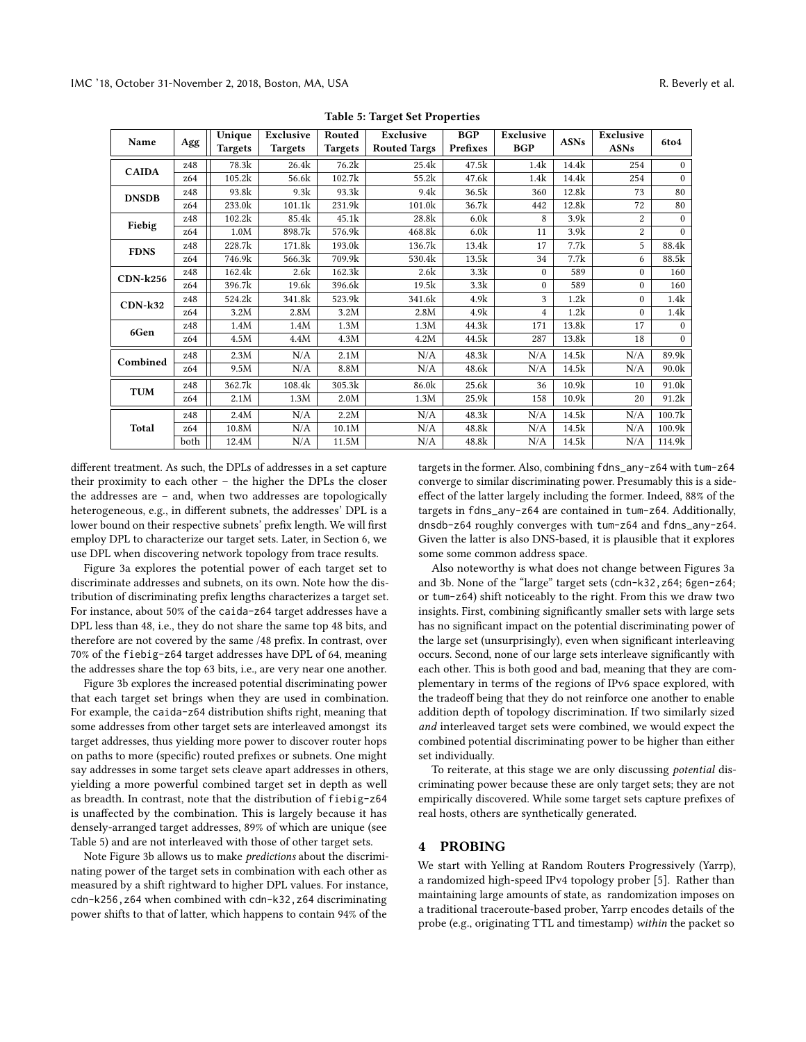<span id="page-5-1"></span>

|              |      | Unique  | Exclusive | Routed         | Exclusive           | <b>BGP</b>       | Exclusive      |             | Exclusive      |              |
|--------------|------|---------|-----------|----------------|---------------------|------------------|----------------|-------------|----------------|--------------|
| Name         | Agg  | Targets | Targets   | <b>Targets</b> | <b>Routed Targs</b> | Prefixes         | <b>BGP</b>     | <b>ASNs</b> | <b>ASNs</b>    | 6to4         |
| <b>CAIDA</b> | z48  | 78.3k   | 26.4k     | 76.2k          | 25.4k               | 47.5k            | 1.4k           | 14.4k       | 254            | $\theta$     |
|              | z64  | 105.2k  | 56.6k     | 102.7k         | 55.2k               | 47.6k            | 1.4k           | 14.4k       | 254            | $\theta$     |
| <b>DNSDB</b> | z48  | 93.8k   | 9.3k      | 93.3k          | 9.4k                | 36.5k            | 360            | 12.8k       | 73             | 80           |
|              | 264  | 233.0k  | 101.1k    | 231.9k         | 101.0k              | 36.7k            | 442            | 12.8k       | 72             | 80           |
| Fiebig       | z48  | 102.2k  | 85.4k     | 45.1k          | 28.8k               | 6.0k             | 8              | 3.9k        | $\overline{c}$ | $\theta$     |
|              | 264  | 1.0M    | 898.7k    | 576.9k         | 468.8k              | 6.0 <sub>k</sub> | 11             | 3.9k        | 2              | $\mathbf{0}$ |
| <b>FDNS</b>  | z48  | 228.7k  | 171.8k    | 193.0k         | 136.7k              | 13.4k            | 17             | 7.7k        | 5              | 88.4k        |
|              | z64  | 746.9k  | 566.3k    | 709.9k         | 530.4k              | 13.5k            | 34             | 7.7k        | 6              | 88.5k        |
| $CDN-k256$   | z48  | 162.4k  | 2.6k      | 162.3k         | 2.6k                | 3.3k             | $\Omega$       | 589         | $\mathbf{0}$   | 160          |
|              | z64  | 396.7k  | 19.6k     | 396.6k         | 19.5k               | 3.3k             | $\Omega$       | 589         | $\theta$       | 160          |
| $CDN-k32$    | z48  | 524.2k  | 341.8k    | 523.9k         | 341.6k              | 4.9k             | 3              | 1.2k        | $\Omega$       | 1.4k         |
|              | 264  | 3.2M    | 2.8M      | 3.2M           | 2.8M                | 4.9k             | $\overline{4}$ | 1.2k        | $\theta$       | 1.4k         |
| 6Gen         | z48  | 1.4M    | 1.4M      | 1.3M           | 1.3M                | 44.3k            | 171            | 13.8k       | 17             | $\mathbf{0}$ |
|              | z64  | 4.5M    | 4.4M      | 4.3M           | 4.2M                | 44.5k            | 287            | 13.8k       | 18             | $\mathbf{0}$ |
| Combined     | z48  | 2.3M    | N/A       | 2.1M           | N/A                 | 48.3k            | N/A            | 14.5k       | N/A            | 89.9k        |
|              | z64  | 9.5M    | N/A       | 8.8M           | N/A                 | 48.6k            | N/A            | 14.5k       | N/A            | 90.0k        |
| <b>TUM</b>   | z48  | 362.7k  | 108.4k    | 305.3k         | 86.0k               | 25.6k            | 36             | 10.9k       | 10             | 91.0k        |
|              | 264  | 2.1M    | 1.3M      | 2.0M           | 1.3M                | 25.9k            | 158            | 10.9k       | 20             | 91.2k        |
|              | z48  | 2.4M    | N/A       | 2.2M           | N/A                 | 48.3k            | N/A            | 14.5k       | N/A            | 100.7k       |
| Total        | z64  | 10.8M   | N/A       | 10.1M          | N/A                 | 48.8k            | N/A            | 14.5k       | N/A            | 100.9k       |
|              | both | 12.4M   | N/A       | 11.5M          | N/A                 | 48.8k            | N/A            | 14.5k       | N/A            | 114.9k       |

Table 5: Target Set Properties

different treatment. As such, the DPLs of addresses in a set capture their proximity to each other – the higher the DPLs the closer the addresses are – and, when two addresses are topologically heterogeneous, e.g., in different subnets, the addresses' DPL is a lower bound on their respective subnets' prefix length. We will first employ DPL to characterize our target sets. Later, in Section [6,](#page-10-0) we use DPL when discovering network topology from trace results.

Figure [3a](#page-4-3) explores the potential power of each target set to discriminate addresses and subnets, on its own. Note how the distribution of discriminating prefix lengths characterizes a target set. For instance, about 50% of the caida-z64 target addresses have a DPL less than 48, i.e., they do not share the same top 48 bits, and therefore are not covered by the same /48 prefix. In contrast, over 70% of the fiebig-z64 target addresses have DPL of 64, meaning the addresses share the top 63 bits, i.e., are very near one another.

Figure [3b](#page-4-3) explores the increased potential discriminating power that each target set brings when they are used in combination. For example, the caida-z64 distribution shifts right, meaning that some addresses from other target sets are interleaved amongst its target addresses, thus yielding more power to discover router hops on paths to more (specific) routed prefixes or subnets. One might say addresses in some target sets cleave apart addresses in others, yielding a more powerful combined target set in depth as well as breadth. In contrast, note that the distribution of fiebig-z64 is unaffected by the combination. This is largely because it has densely-arranged target addresses, 89% of which are unique (see Table [5\)](#page-5-1) and are not interleaved with those of other target sets.

Note Figure [3b](#page-4-3) allows us to make predictions about the discriminating power of the target sets in combination with each other as measured by a shift rightward to higher DPL values. For instance, cdn-k256,z64 when combined with cdn-k32,z64 discriminating power shifts to that of latter, which happens to contain 94% of the

targets in the former. Also, combining fdns\_any-z64 with tum-z64 converge to similar discriminating power. Presumably this is a sideeffect of the latter largely including the former. Indeed, 88% of the targets in fdns\_any-z64 are contained in tum-z64. Additionally, dnsdb-z64 roughly converges with tum-z64 and fdns\_any-z64. Given the latter is also DNS-based, it is plausible that it explores some some common address space.

Also noteworthy is what does not change between Figures [3a](#page-4-3) and [3b.](#page-4-3) None of the "large" target sets (cdn-k32,z64; 6gen-z64; or tum-z64) shift noticeably to the right. From this we draw two insights. First, combining significantly smaller sets with large sets has no significant impact on the potential discriminating power of the large set (unsurprisingly), even when significant interleaving occurs. Second, none of our large sets interleave significantly with each other. This is both good and bad, meaning that they are complementary in terms of the regions of IPv6 space explored, with the tradeoff being that they do not reinforce one another to enable addition depth of topology discrimination. If two similarly sized and interleaved target sets were combined, we would expect the combined potential discriminating power to be higher than either set individually.

To reiterate, at this stage we are only discussing potential discriminating power because these are only target sets; they are not empirically discovered. While some target sets capture prefixes of real hosts, others are synthetically generated.

## <span id="page-5-0"></span>**PROBING**

We start with Yelling at Random Routers Progressively (Yarrp), a randomized high-speed IPv4 topology prober [\[5\]](#page-13-25). Rather than maintaining large amounts of state, as randomization imposes on a traditional traceroute-based prober, Yarrp encodes details of the probe (e.g., originating TTL and timestamp) within the packet so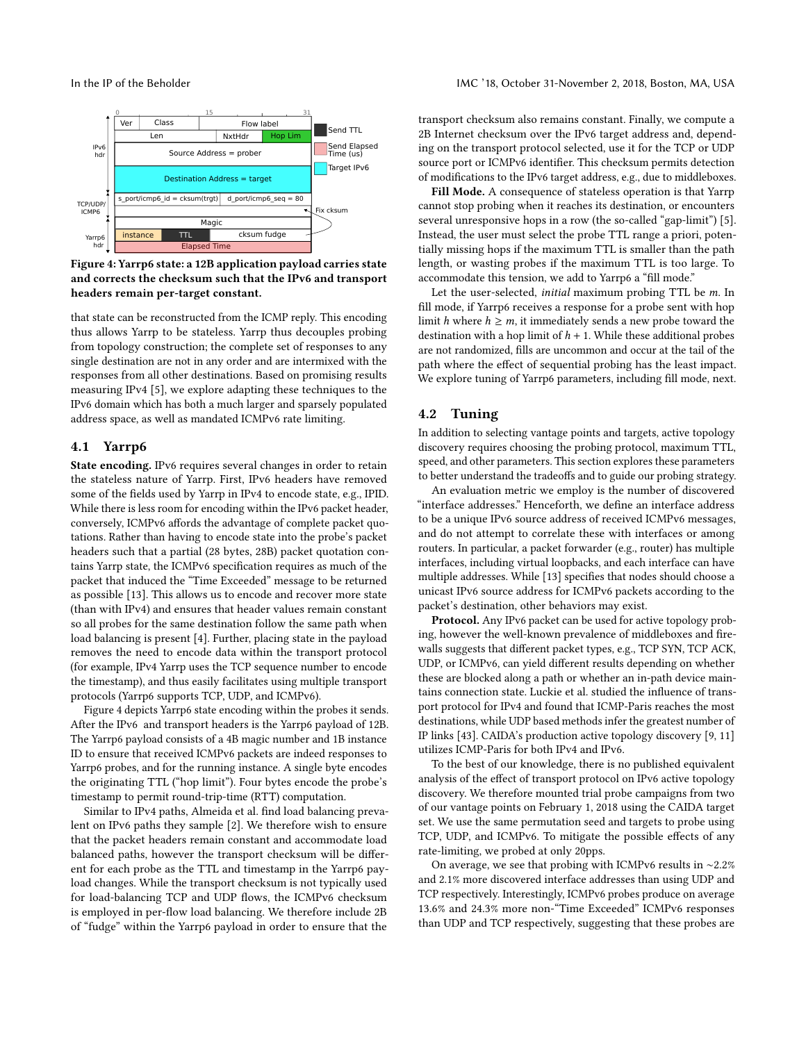<span id="page-6-1"></span>

Figure 4: Yarrp6 state: a 12B application payload carries state and corrects the checksum such that the IPv6 and transport headers remain per-target constant.

that state can be reconstructed from the ICMP reply. This encoding thus allows Yarrp to be stateless. Yarrp thus decouples probing from topology construction; the complete set of responses to any single destination are not in any order and are intermixed with the responses from all other destinations. Based on promising results measuring IPv4 [\[5\]](#page-13-25), we explore adapting these techniques to the IPv6 domain which has both a much larger and sparsely populated address space, as well as mandated ICMPv6 rate limiting.

#### 4.1 Yarrp6

State encoding. IPv6 requires several changes in order to retain the stateless nature of Yarrp. First, IPv6 headers have removed some of the fields used by Yarrp in IPv4 to encode state, e.g., IPID. While there is less room for encoding within the IPv6 packet header, conversely, ICMPv6 affords the advantage of complete packet quotations. Rather than having to encode state into the probe's packet headers such that a partial (28 bytes, 28B) packet quotation contains Yarrp state, the ICMPv6 specification requires as much of the packet that induced the "Time Exceeded" message to be returned as possible [\[13\]](#page-13-10). This allows us to encode and recover more state (than with IPv4) and ensures that header values remain constant so all probes for the same destination follow the same path when load balancing is present [\[4\]](#page-13-28). Further, placing state in the payload removes the need to encode data within the transport protocol (for example, IPv4 Yarrp uses the TCP sequence number to encode the timestamp), and thus easily facilitates using multiple transport protocols (Yarrp6 supports TCP, UDP, and ICMPv6).

Figure [4](#page-6-1) depicts Yarrp6 state encoding within the probes it sends. After the IPv6 and transport headers is the Yarrp6 payload of 12B. The Yarrp6 payload consists of a 4B magic number and 1B instance ID to ensure that received ICMPv6 packets are indeed responses to Yarrp6 probes, and for the running instance. A single byte encodes the originating TTL ("hop limit"). Four bytes encode the probe's timestamp to permit round-trip-time (RTT) computation.

Similar to IPv4 paths, Almeida et al. find load balancing prevalent on IPv6 paths they sample [\[2\]](#page-13-49). We therefore wish to ensure that the packet headers remain constant and accommodate load balanced paths, however the transport checksum will be different for each probe as the TTL and timestamp in the Yarrp6 payload changes. While the transport checksum is not typically used for load-balancing TCP and UDP flows, the ICMPv6 checksum is employed in per-flow load balancing. We therefore include 2B of "fudge" within the Yarrp6 payload in order to ensure that the

transport checksum also remains constant. Finally, we compute a 2B Internet checksum over the IPv6 target address and, depending on the transport protocol selected, use it for the TCP or UDP source port or ICMPv6 identifier. This checksum permits detection of modifications to the IPv6 target address, e.g., due to middleboxes.

Fill Mode. A consequence of stateless operation is that Yarrp cannot stop probing when it reaches its destination, or encounters several unresponsive hops in a row (the so-called "gap-limit") [\[5\]](#page-13-25). Instead, the user must select the probe TTL range a priori, potentially missing hops if the maximum TTL is smaller than the path length, or wasting probes if the maximum TTL is too large. To accommodate this tension, we add to Yarrp6 a "fill mode."

Let the user-selected, initial maximum probing TTL be m. In fill mode, if Yarrp6 receives a response for a probe sent with hop limit h where  $h \ge m$ , it immediately sends a new probe toward the destination with a hop limit of  $h + 1$ . While these additional probes are not randomized, fills are uncommon and occur at the tail of the path where the effect of sequential probing has the least impact. We explore tuning of Yarrp6 parameters, including fill mode, next.

### <span id="page-6-0"></span>4.2 Tuning

In addition to selecting vantage points and targets, active topology discovery requires choosing the probing protocol, maximum TTL, speed, and other parameters. This section explores these parameters to better understand the tradeoffs and to guide our probing strategy.

An evaluation metric we employ is the number of discovered "interface addresses." Henceforth, we define an interface address to be a unique IPv6 source address of received ICMPv6 messages, and do not attempt to correlate these with interfaces or among routers. In particular, a packet forwarder (e.g., router) has multiple interfaces, including virtual loopbacks, and each interface can have multiple addresses. While [\[13\]](#page-13-10) specifies that nodes should choose a unicast IPv6 source address for ICMPv6 packets according to the packet's destination, other behaviors may exist.

Protocol. Any IPv6 packet can be used for active topology probing, however the well-known prevalence of middleboxes and firewalls suggests that different packet types, e.g., TCP SYN, TCP ACK, UDP, or ICMPv6, can yield different results depending on whether these are blocked along a path or whether an in-path device maintains connection state. Luckie et al. studied the influence of transport protocol for IPv4 and found that ICMP-Paris reaches the most destinations, while UDP based methods infer the greatest number of IP links [\[43\]](#page-13-50). CAIDA's production active topology discovery [\[9,](#page-13-51) [11\]](#page-13-16) utilizes ICMP-Paris for both IPv4 and IPv6.

To the best of our knowledge, there is no published equivalent analysis of the effect of transport protocol on IPv6 active topology discovery. We therefore mounted trial probe campaigns from two of our vantage points on February 1, 2018 using the CAIDA target set. We use the same permutation seed and targets to probe using TCP, UDP, and ICMPv6. To mitigate the possible effects of any rate-limiting, we probed at only 20pps.

On average, we see that probing with ICMPv6 results in ∼2.2% and 2.1% more discovered interface addresses than using UDP and TCP respectively. Interestingly, ICMPv6 probes produce on average 13.6% and 24.3% more non-"Time Exceeded" ICMPv6 responses than UDP and TCP respectively, suggesting that these probes are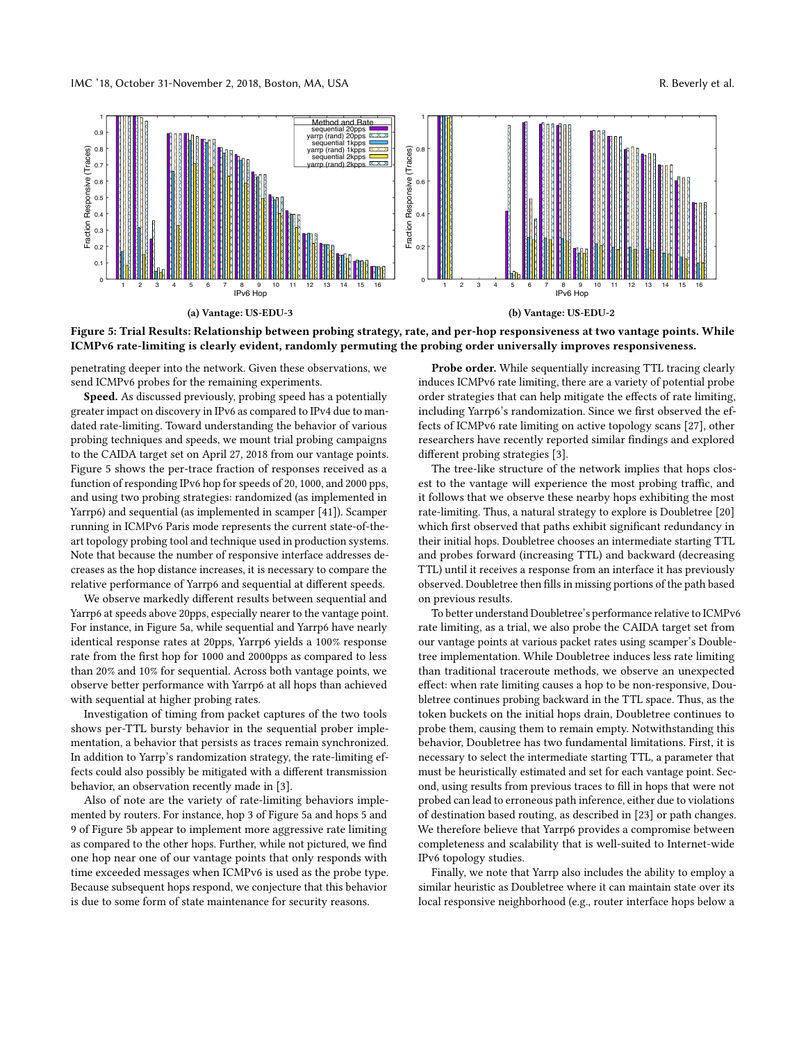IMC '18, October 31-November 2, 2018, Boston, MA, USA R. Beverly et al.

<span id="page-7-0"></span>

Figure 5: Trial Results: Relationship between probing strategy, rate, and per-hop responsiveness at two vantage points. While ICMPv6 rate-limiting is clearly evident, randomly permuting the probing order universally improves responsiveness.

penetrating deeper into the network. Given these observations, we send ICMPv6 probes for the remaining experiments.

Speed. As discussed previously, probing speed has a potentially greater impact on discovery in IPv6 as compared to IPv4 due to mandated rate-limiting. Toward understanding the behavior of various probing techniques and speeds, we mount trial probing campaigns to the CAIDA target set on April 27, 2018 from our vantage points. Figure [5](#page-7-0) shows the per-trace fraction of responses received as a function of responding IPv6 hop for speeds of 20, 1000, and 2000 pps, and using two probing strategies: randomized (as implemented in Yarrp6) and sequential (as implemented in scamper [\[41\]](#page-13-31)). Scamper running in ICMPv6 Paris mode represents the current state-of-theart topology probing tool and technique used in production systems. Note that because the number of responsive interface addresses decreases as the hop distance increases, it is necessary to compare the relative performance of Yarrp6 and sequential at different speeds.

We observe markedly different results between sequential and Yarrp6 at speeds above 20pps, especially nearer to the vantage point. For instance, in Figure [5a,](#page-7-0) while sequential and Yarrp6 have nearly identical response rates at 20pps, Yarrp6 yields a 100% response rate from the first hop for 1000 and 2000pps as compared to less than 20% and 10% for sequential. Across both vantage points, we observe better performance with Yarrp6 at all hops than achieved with sequential at higher probing rates.

Investigation of timing from packet captures of the two tools shows per-TTL bursty behavior in the sequential prober implementation, a behavior that persists as traces remain synchronized. In addition to Yarrp's randomization strategy, the rate-limiting effects could also possibly be mitigated with a different transmission behavior, an observation recently made in [\[3\]](#page-13-33).

Also of note are the variety of rate-limiting behaviors implemented by routers. For instance, hop 3 of Figure [5a](#page-7-0) and hops 5 and 9 of Figure [5b](#page-7-0) appear to implement more aggressive rate limiting as compared to the other hops. Further, while not pictured, we find one hop near one of our vantage points that only responds with time exceeded messages when ICMPv6 is used as the probe type. Because subsequent hops respond, we conjecture that this behavior is due to some form of state maintenance for security reasons.

Probe order. While sequentially increasing TTL tracing clearly induces ICMPv6 rate limiting, there are a variety of potential probe order strategies that can help mitigate the effects of rate limiting, including Yarrp6's randomization. Since we first observed the effects of ICMPv6 rate limiting on active topology scans [\[27\]](#page-13-52), other researchers have recently reported similar findings and explored different probing strategies [\[3\]](#page-13-33).

The tree-like structure of the network implies that hops closest to the vantage will experience the most probing traffic, and it follows that we observe these nearby hops exhibiting the most rate-limiting. Thus, a natural strategy to explore is Doubletree [\[20\]](#page-13-12) which first observed that paths exhibit significant redundancy in their initial hops. Doubletree chooses an intermediate starting TTL and probes forward (increasing TTL) and backward (decreasing TTL) until it receives a response from an interface it has previously observed. Doubletree then fills in missing portions of the path based on previous results.

To better understand Doubletree's performance relative to ICMPv6 rate limiting, as a trial, we also probe the CAIDA target set from our vantage points at various packet rates using scamper's Doubletree implementation. While Doubletree induces less rate limiting than traditional traceroute methods, we observe an unexpected effect: when rate limiting causes a hop to be non-responsive, Doubletree continues probing backward in the TTL space. Thus, as the token buckets on the initial hops drain, Doubletree continues to probe them, causing them to remain empty. Notwithstanding this behavior, Doubletree has two fundamental limitations. First, it is necessary to select the intermediate starting TTL, a parameter that must be heuristically estimated and set for each vantage point. Second, using results from previous traces to fill in hops that were not probed can lead to erroneous path inference, either due to violations of destination based routing, as described in [\[23\]](#page-13-53) or path changes. We therefore believe that Yarrp6 provides a compromise between completeness and scalability that is well-suited to Internet-wide IPv6 topology studies.

Finally, we note that Yarrp also includes the ability to employ a similar heuristic as Doubletree where it can maintain state over its local responsive neighborhood (e.g., router interface hops below a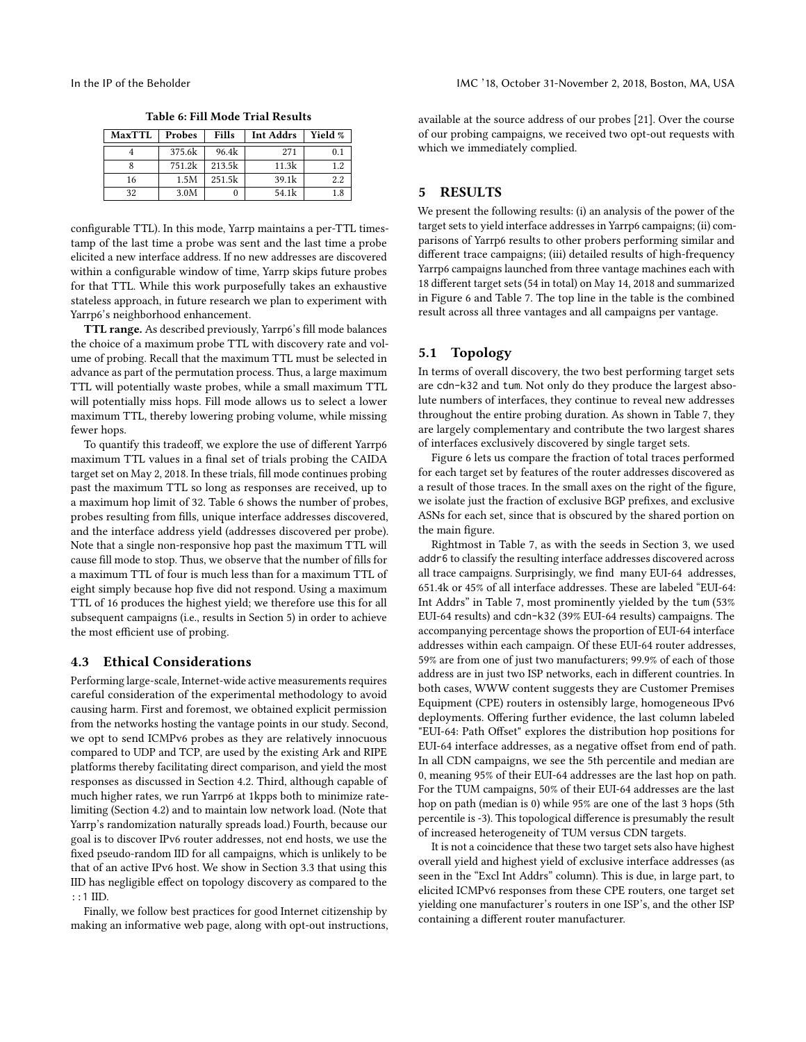<span id="page-8-1"></span>

|  | Table 6: Fill Mode Trial Results |  |  |
|--|----------------------------------|--|--|
|--|----------------------------------|--|--|

| <b>MaxTTL</b> | Probes | Fills  | <b>Int Addrs</b> | Yield % |
|---------------|--------|--------|------------------|---------|
|               | 375.6k | 96.4k  | 271              | 0.1     |
|               | 751.2k | 213.5k | 11.3k            | 12      |
| 16            | 1.5M   | 251.5k | 39.1k            | 2.2     |
| 32            | 3.0M   | 0      | 54.1k            | 1.8     |

configurable TTL). In this mode, Yarrp maintains a per-TTL timestamp of the last time a probe was sent and the last time a probe elicited a new interface address. If no new addresses are discovered within a configurable window of time, Yarrp skips future probes for that TTL. While this work purposefully takes an exhaustive stateless approach, in future research we plan to experiment with Yarrp6's neighborhood enhancement.

TTL range. As described previously, Yarrp6's fill mode balances the choice of a maximum probe TTL with discovery rate and volume of probing. Recall that the maximum TTL must be selected in advance as part of the permutation process. Thus, a large maximum TTL will potentially waste probes, while a small maximum TTL will potentially miss hops. Fill mode allows us to select a lower maximum TTL, thereby lowering probing volume, while missing fewer hops.

To quantify this tradeoff, we explore the use of different Yarrp6 maximum TTL values in a final set of trials probing the CAIDA target set on May 2, 2018. In these trials, fill mode continues probing past the maximum TTL so long as responses are received, up to a maximum hop limit of 32. Table [6](#page-8-1) shows the number of probes, probes resulting from fills, unique interface addresses discovered, and the interface address yield (addresses discovered per probe). Note that a single non-responsive hop past the maximum TTL will cause fill mode to stop. Thus, we observe that the number of fills for a maximum TTL of four is much less than for a maximum TTL of eight simply because hop five did not respond. Using a maximum TTL of 16 produces the highest yield; we therefore use this for all subsequent campaigns (i.e., results in Section [5\)](#page-8-0) in order to achieve the most efficient use of probing.

#### 4.3 Ethical Considerations

Performing large-scale, Internet-wide active measurements requires careful consideration of the experimental methodology to avoid causing harm. First and foremost, we obtained explicit permission from the networks hosting the vantage points in our study. Second, we opt to send ICMPv6 probes as they are relatively innocuous compared to UDP and TCP, are used by the existing Ark and RIPE platforms thereby facilitating direct comparison, and yield the most responses as discussed in Section [4.2.](#page-6-0) Third, although capable of much higher rates, we run Yarrp6 at 1kpps both to minimize ratelimiting (Section [4.2\)](#page-6-0) and to maintain low network load. (Note that Yarrp's randomization naturally spreads load.) Fourth, because our goal is to discover IPv6 router addresses, not end hosts, we use the fixed pseudo-random IID for all campaigns, which is unlikely to be that of an active IPv6 host. We show in Section [3.3](#page-3-3) that using this IID has negligible effect on topology discovery as compared to the ::1 IID.

Finally, we follow best practices for good Internet citizenship by making an informative web page, along with opt-out instructions, available at the source address of our probes [\[21\]](#page-13-54). Over the course of our probing campaigns, we received two opt-out requests with which we immediately complied.

# <span id="page-8-0"></span>5 RESULTS

We present the following results: (i) an analysis of the power of the target sets to yield interface addresses in Yarrp6 campaigns; (ii) comparisons of Yarrp6 results to other probers performing similar and different trace campaigns; (iii) detailed results of high-frequency Yarrp6 campaigns launched from three vantage machines each with 18 different target sets (54 in total) on May 14, 2018 and summarized in Figure [6](#page-9-0) and Table [7.](#page-9-1) The top line in the table is the combined result across all three vantages and all campaigns per vantage.

# 5.1 Topology

In terms of overall discovery, the two best performing target sets are cdn-k32 and tum. Not only do they produce the largest absolute numbers of interfaces, they continue to reveal new addresses throughout the entire probing duration. As shown in Table [7,](#page-9-1) they are largely complementary and contribute the two largest shares of interfaces exclusively discovered by single target sets.

Figure [6](#page-9-0) lets us compare the fraction of total traces performed for each target set by features of the router addresses discovered as a result of those traces. In the small axes on the right of the figure, we isolate just the fraction of exclusive BGP prefixes, and exclusive ASNs for each set, since that is obscured by the shared portion on the main figure.

Rightmost in Table [7,](#page-9-1) as with the seeds in Section [3,](#page-2-0) we used addr6 to classify the resulting interface addresses discovered across all trace campaigns. Surprisingly, we find many EUI-64 addresses, 651.4k or 45% of all interface addresses. These are labeled "EUI-64: Int Addrs" in Table [7,](#page-9-1) most prominently yielded by the tum (53% EUI-64 results) and cdn-k32 (39% EUI-64 results) campaigns. The accompanying percentage shows the proportion of EUI-64 interface addresses within each campaign. Of these EUI-64 router addresses, 59% are from one of just two manufacturers; 99.9% of each of those address are in just two ISP networks, each in different countries. In both cases, WWW content suggests they are Customer Premises Equipment (CPE) routers in ostensibly large, homogeneous IPv6 deployments. Offering further evidence, the last column labeled "EUI-64: Path Offset" explores the distribution hop positions for EUI-64 interface addresses, as a negative offset from end of path. In all CDN campaigns, we see the 5th percentile and median are 0, meaning 95% of their EUI-64 addresses are the last hop on path. For the TUM campaigns, 50% of their EUI-64 addresses are the last hop on path (median is 0) while 95% are one of the last 3 hops (5th percentile is -3). This topological difference is presumably the result of increased heterogeneity of TUM versus CDN targets.

It is not a coincidence that these two target sets also have highest overall yield and highest yield of exclusive interface addresses (as seen in the "Excl Int Addrs" column). This is due, in large part, to elicited ICMPv6 responses from these CPE routers, one target set yielding one manufacturer's routers in one ISP's, and the other ISP containing a different router manufacturer.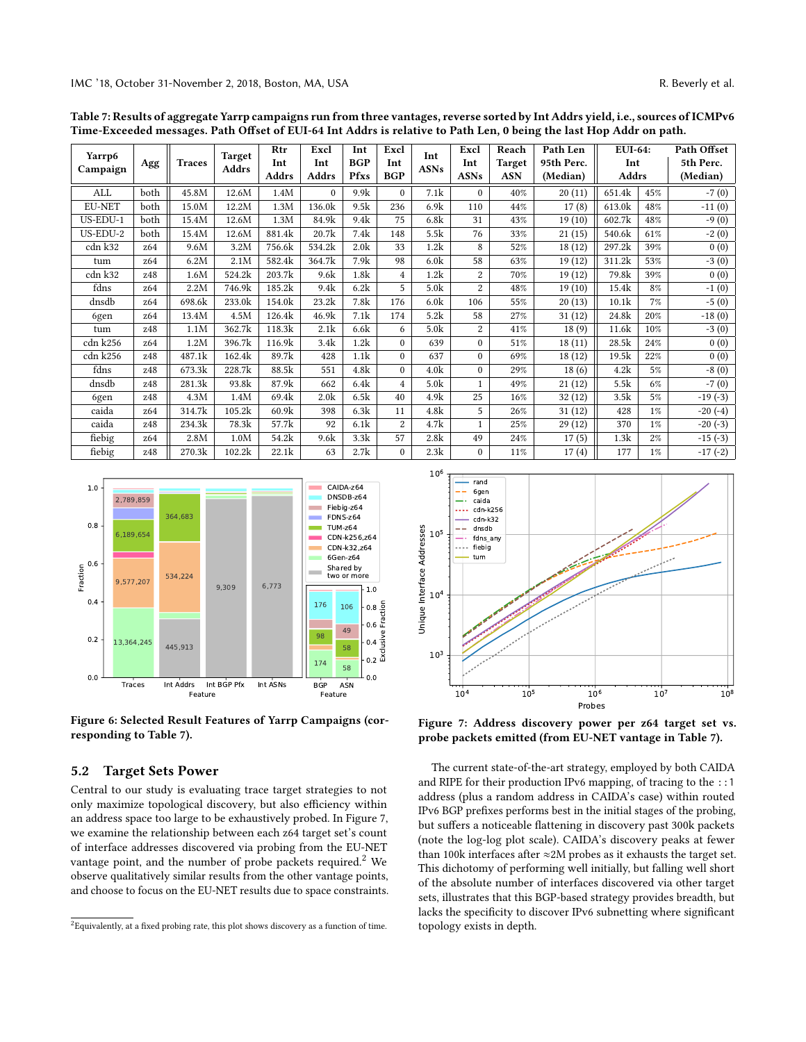|                    |                 |               | <b>Target</b> | Rtr    | Excl             | Int              | Excl           | Int              | Excl           | Reach         | Path Len   | <b>EUI-64:</b> |       | Path Offset |  |
|--------------------|-----------------|---------------|---------------|--------|------------------|------------------|----------------|------------------|----------------|---------------|------------|----------------|-------|-------------|--|
| Yarrp6<br>Campaign | Agg             | <b>Traces</b> | Addrs         | Int    | Int              | <b>BGP</b>       | Int            | <b>ASNs</b>      | Int            | <b>Target</b> | 95th Perc. | Int            |       | 5th Perc.   |  |
|                    |                 |               |               | Addrs  | <b>Addrs</b>     | Pfxs             | <b>BGP</b>     |                  | <b>ASNs</b>    | <b>ASN</b>    | (Median)   | Addrs          |       | (Median)    |  |
| ALL                | both            | 45.8M         | 12.6M         | 1.4M   | $\Omega$         | 9.9k             | $\Omega$       | 7.1k             | $\Omega$       | 40%           | 20(11)     | 651.4k         | 45%   | $-7(0)$     |  |
| <b>EU-NET</b>      | both            | 15.0M         | 12.2M         | 1.3M   | 136.0k           | 9.5k             | 236            | 6.9k             | 110            | 44%           | 17(8)      | 613.0k         | 48%   | $-11(0)$    |  |
| US-EDU-1           | both            | 15.4M         | 12.6M         | 1.3M   | 84.9k            | 9.4k             | 75             | 6.8k             | 31             | 43%           | 19(10)     | 602.7k         | 48%   | $-9(0)$     |  |
| $US-EDU-2$         | both            | 15.4M         | 12.6M         | 881.4k | 20.7k            | 7.4k             | 148            | 5.5k             | 76             | 33%           | 21(15)     | 540.6k         | 61%   | $-2(0)$     |  |
| cdn k32            | z <sub>64</sub> | 9.6M          | 3.2M          | 756.6k | 534.2k           | 2.0 <sub>k</sub> | 33             | 1.2k             | 8              | 52%           | 18(12)     | 297.2k         | 39%   | 0(0)        |  |
| tum                | z64             | 6.2M          | 2.1M          | 582.4k | 364.7k           | 7.9k             | 98             | 6.0 <sub>k</sub> | 58             | 63%           | 19(12)     | 311.2k         | 53%   | $-3(0)$     |  |
| cdn k32            | z48             | 1.6M          | 524.2k        | 203.7k | 9.6k             | 1.8k             | $\overline{4}$ | 1.2k             | 2              | 70%           | 19(12)     | 79.8k          | 39%   | 0(0)        |  |
| fdns               | z64             | 2.2M          | 746.9k        | 185.2k | 9.4k             | 6.2k             | 5              | 5.0k             | $\overline{2}$ | 48%           | 19(10)     | 15.4k          | 8%    | $-1(0)$     |  |
| dnsdb              | z64             | 698.6k        | 233.0k        | 154.0k | 23.2k            | 7.8k             | 176            | 6.0 <sub>k</sub> | 106            | 55%           | 20(13)     | 10.1k          | 7%    | $-5(0)$     |  |
| 6gen               | z64             | 13.4M         | 4.5M          | 126.4k | 46.9k            | 7.1k             | 174            | 5.2k             | 58             | 27%           | 31(12)     | 24.8k          | 20%   | $-18(0)$    |  |
| tum                | z48             | 1.1M          | 362.7k        | 118.3k | 2.1k             | 6.6k             | 6              | 5.0k             | 2              | 41%           | 18(9)      | 11.6k          | 10%   | $-3(0)$     |  |
| cdn k256           | z64             | 1.2M          | 396.7k        | 116.9k | 3.4k             | 1.2k             | $\Omega$       | 639              | $\theta$       | 51%           | 18(11)     | 28.5k          | 24%   | 0(0)        |  |
| cdn k256           | z48             | 487.1k        | 162.4k        | 89.7k  | 428              | 1.1k             | $\Omega$       | 637              | $\theta$       | 69%           | 18 (12)    | 19.5k          | 22%   | 0(0)        |  |
| fdns               | z48             | 673.3k        | 228.7k        | 88.5k  | 551              | 4.8k             | $\Omega$       | 4.0 <sub>k</sub> | $\Omega$       | 29%           | 18(6)      | 4.2k           | 5%    | $-8(0)$     |  |
| dnsdb              | z48             | 281.3k        | 93.8k         | 87.9k  | 662              | 6.4k             | $\overline{4}$ | 5.0 <sub>k</sub> |                | 49%           | 21(12)     | 5.5k           | 6%    | $-7(0)$     |  |
| 6gen               | z48             | 4.3M          | 1.4M          | 69.4k  | 2.0 <sub>k</sub> | 6.5k             | 40             | 4.9k             | 25             | 16%           | 32(12)     | 3.5k           | 5%    | $-19(-3)$   |  |
| caida              | z64             | 314.7k        | 105.2k        | 60.9k  | 398              | 6.3k             | 11             | 4.8k             | 5              | 26%           | 31(12)     | 428            | $1\%$ | $-20(-4)$   |  |
| caida              | z48             | 234.3k        | 78.3k         | 57.7k  | 92               | 6.1k             | $\overline{2}$ | 4.7k             |                | 25%           | 29(12)     | 370            | $1\%$ | $-20(-3)$   |  |
| fiebig             | z64             | 2.8M          | 1.0M          | 54.2k  | 9.6k             | 3.3k             | 57             | 2.8k             | 49             | 24%           | 17(5)      | 1.3k           | $2\%$ | $-15(-3)$   |  |
| fiebig             | z48             | 270.3k        | 102.2k        | 22.1k  | 63               | 2.7k             | 0              | 2.3k             | $\theta$       | 11%           | 17(4)      | 177            | $1\%$ | $-17(-2)$   |  |

<span id="page-9-1"></span>Table 7: Results of aggregate Yarrp campaigns run from three vantages, reverse sorted by Int Addrs yield, i.e., sources of ICMPv6 Time-Exceeded messages. Path Offset of EUI-64 Int Addrs is relative to Path Len, 0 being the last Hop Addr on path.

<span id="page-9-0"></span>

Figure 6: Selected Result Features of Yarrp Campaigns (corresponding to Table [7\)](#page-9-1).

#### 5.2 Target Sets Power

Central to our study is evaluating trace target strategies to not only maximize topological discovery, but also efficiency within an address space too large to be exhaustively probed. In Figure [7,](#page-9-2) we examine the relationship between each z64 target set's count of interface addresses discovered via probing from the EU-NET vantage point, and the number of probe packets required.<sup>[2](#page-9-3)</sup> We observe qualitatively similar results from the other vantage points, and choose to focus on the EU-NET results due to space constraints.

<span id="page-9-2"></span>

Figure 7: Address discovery power per z64 target set vs. probe packets emitted (from EU-NET vantage in Table [7\)](#page-9-1).

The current state-of-the-art strategy, employed by both CAIDA and RIPE for their production IPv6 mapping, of tracing to the ::1 address (plus a random address in CAIDA's case) within routed IPv6 BGP prefixes performs best in the initial stages of the probing, but suffers a noticeable flattening in discovery past 300k packets (note the log-log plot scale). CAIDA's discovery peaks at fewer than 100k interfaces after  $\approx$  2M probes as it exhausts the target set. This dichotomy of performing well initially, but falling well short of the absolute number of interfaces discovered via other target sets, illustrates that this BGP-based strategy provides breadth, but lacks the specificity to discover IPv6 subnetting where significant topology exists in depth.

<span id="page-9-3"></span> $^2$ Equivalently, at a fixed probing rate, this plot shows discovery as a function of time.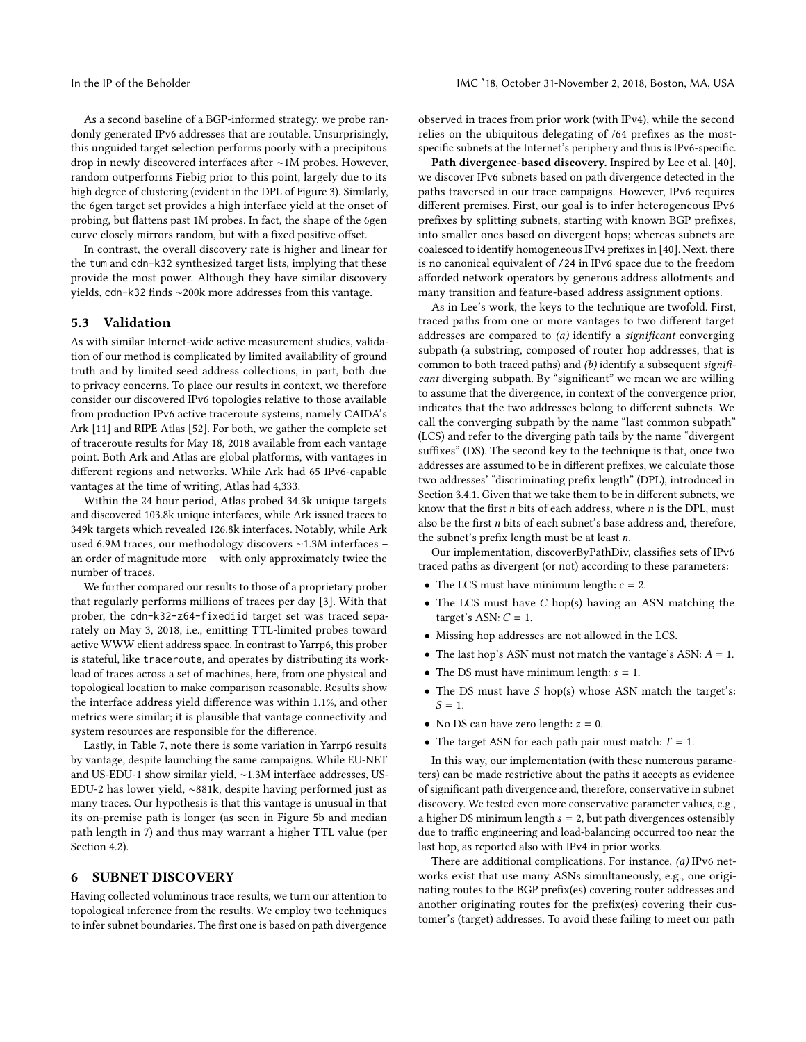As a second baseline of a BGP-informed strategy, we probe randomly generated IPv6 addresses that are routable. Unsurprisingly, this unguided target selection performs poorly with a precipitous drop in newly discovered interfaces after ∼1M probes. However, random outperforms Fiebig prior to this point, largely due to its high degree of clustering (evident in the DPL of Figure [3\)](#page-4-3). Similarly, the 6gen target set provides a high interface yield at the onset of probing, but flattens past 1M probes. In fact, the shape of the 6gen curve closely mirrors random, but with a fixed positive offset.

In contrast, the overall discovery rate is higher and linear for the tum and cdn-k32 synthesized target lists, implying that these provide the most power. Although they have similar discovery yields, cdn-k32 finds ∼200k more addresses from this vantage.

#### 5.3 Validation

As with similar Internet-wide active measurement studies, validation of our method is complicated by limited availability of ground truth and by limited seed address collections, in part, both due to privacy concerns. To place our results in context, we therefore consider our discovered IPv6 topologies relative to those available from production IPv6 active traceroute systems, namely CAIDA's Ark [\[11\]](#page-13-16) and RIPE Atlas [\[52\]](#page-13-17). For both, we gather the complete set of traceroute results for May 18, 2018 available from each vantage point. Both Ark and Atlas are global platforms, with vantages in different regions and networks. While Ark had 65 IPv6-capable vantages at the time of writing, Atlas had 4,333.

Within the 24 hour period, Atlas probed 34.3k unique targets and discovered 103.8k unique interfaces, while Ark issued traces to 349k targets which revealed 126.8k interfaces. Notably, while Ark used 6.9M traces, our methodology discovers ∼1.3M interfaces – an order of magnitude more – with only approximately twice the number of traces.

We further compared our results to those of a proprietary prober that regularly performs millions of traces per day [\[3\]](#page-13-33). With that prober, the cdn-k32-z64-fixediid target set was traced separately on May 3, 2018, i.e., emitting TTL-limited probes toward active WWW client address space. In contrast to Yarrp6, this prober is stateful, like traceroute, and operates by distributing its workload of traces across a set of machines, here, from one physical and topological location to make comparison reasonable. Results show the interface address yield difference was within 1.1%, and other metrics were similar; it is plausible that vantage connectivity and system resources are responsible for the difference.

Lastly, in Table [7,](#page-9-1) note there is some variation in Yarrp6 results by vantage, despite launching the same campaigns. While EU-NET and US-EDU-1 show similar yield, ∼1.3M interface addresses, US-EDU-2 has lower yield, ∼881k, despite having performed just as many traces. Our hypothesis is that this vantage is unusual in that its on-premise path is longer (as seen in Figure [5b](#page-7-0) and median path length in [7\)](#page-9-1) and thus may warrant a higher TTL value (per Section [4.2\)](#page-6-0).

# <span id="page-10-0"></span>6 SUBNET DISCOVERY

Having collected voluminous trace results, we turn our attention to topological inference from the results. We employ two techniques to infer subnet boundaries. The first one is based on path divergence observed in traces from prior work (with IPv4), while the second relies on the ubiquitous delegating of /64 prefixes as the mostspecific subnets at the Internet's periphery and thus is IPv6-specific.

Path divergence-based discovery. Inspired by Lee et al. [\[40\]](#page-13-55), we discover IPv6 subnets based on path divergence detected in the paths traversed in our trace campaigns. However, IPv6 requires different premises. First, our goal is to infer heterogeneous IPv6 prefixes by splitting subnets, starting with known BGP prefixes, into smaller ones based on divergent hops; whereas subnets are coalesced to identify homogeneous IPv4 prefixes in [\[40\]](#page-13-55). Next, there is no canonical equivalent of /24 in IPv6 space due to the freedom afforded network operators by generous address allotments and many transition and feature-based address assignment options.

As in Lee's work, the keys to the technique are twofold. First, traced paths from one or more vantages to two different target addresses are compared to (a) identify a significant converging subpath (a substring, composed of router hop addresses, that is common to both traced paths) and  $(b)$  identify a subsequent significant diverging subpath. By "significant" we mean we are willing to assume that the divergence, in context of the convergence prior, indicates that the two addresses belong to different subnets. We call the converging subpath by the name "last common subpath" (LCS) and refer to the diverging path tails by the name "divergent suffixes" (DS). The second key to the technique is that, once two addresses are assumed to be in different prefixes, we calculate those two addresses' "discriminating prefix length" (DPL), introduced in Section [3.4.1.](#page-4-4) Given that we take them to be in different subnets, we know that the first  $n$  bits of each address, where  $n$  is the DPL, must also be the first n bits of each subnet's base address and, therefore, the subnet's prefix length must be at least  $n$ .

Our implementation, discoverByPathDiv, classifies sets of IPv6 traced paths as divergent (or not) according to these parameters:

- The LCS must have minimum length:  $c = 2$ .
- The LCS must have C hop(s) having an ASN matching the target's ASN:  $C = 1$ .
- Missing hop addresses are not allowed in the LCS.
- The last hop's ASN must not match the vantage's ASN:  $A = 1$ .
- The DS must have minimum length:  $s = 1$ .
- The DS must have S hop(s) whose ASN match the target's:  $S = 1$ .
- No DS can have zero length:  $z = 0$ .
- The target ASN for each path pair must match:  $T = 1$ .

In this way, our implementation (with these numerous parameters) can be made restrictive about the paths it accepts as evidence of significant path divergence and, therefore, conservative in subnet discovery. We tested even more conservative parameter values, e.g., a higher DS minimum length  $s = 2$ , but path divergences ostensibly due to traffic engineering and load-balancing occurred too near the last hop, as reported also with IPv4 in prior works.

There are additional complications. For instance,  $(a)$  IPv6 networks exist that use many ASNs simultaneously, e.g., one originating routes to the BGP prefix(es) covering router addresses and another originating routes for the prefix(es) covering their customer's (target) addresses. To avoid these failing to meet our path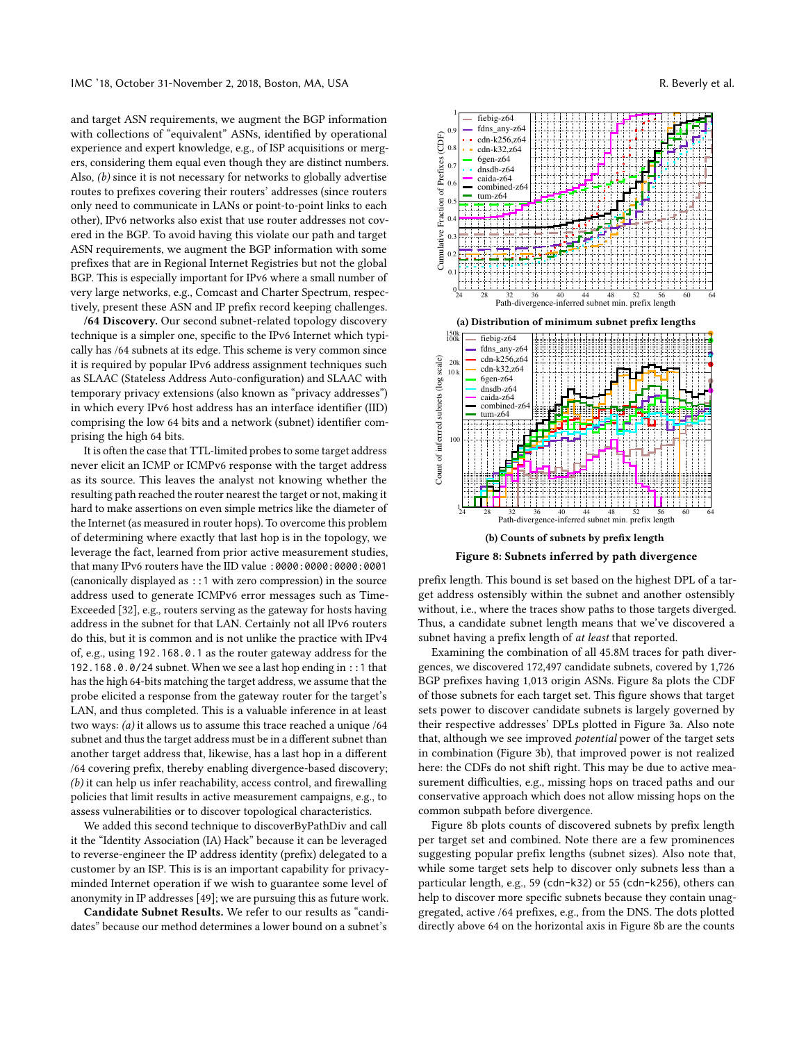and target ASN requirements, we augment the BGP information with collections of "equivalent" ASNs, identified by operational experience and expert knowledge, e.g., of ISP acquisitions or mergers, considering them equal even though they are distinct numbers. Also, (b) since it is not necessary for networks to globally advertise routes to prefixes covering their routers' addresses (since routers only need to communicate in LANs or point-to-point links to each other), IPv6 networks also exist that use router addresses not covered in the BGP. To avoid having this violate our path and target ASN requirements, we augment the BGP information with some prefixes that are in Regional Internet Registries but not the global BGP. This is especially important for IPv6 where a small number of very large networks, e.g., Comcast and Charter Spectrum, respectively, present these ASN and IP prefix record keeping challenges.

/64 Discovery. Our second subnet-related topology discovery technique is a simpler one, specific to the IPv6 Internet which typically has /64 subnets at its edge. This scheme is very common since it is required by popular IPv6 address assignment techniques such as SLAAC (Stateless Address Auto-configuration) and SLAAC with temporary privacy extensions (also known as "privacy addresses") in which every IPv6 host address has an interface identifier (IID) comprising the low 64 bits and a network (subnet) identifier comprising the high 64 bits.

It is often the case that TTL-limited probes to some target address never elicit an ICMP or ICMPv6 response with the target address as its source. This leaves the analyst not knowing whether the resulting path reached the router nearest the target or not, making it hard to make assertions on even simple metrics like the diameter of the Internet (as measured in router hops). To overcome this problem of determining where exactly that last hop is in the topology, we leverage the fact, learned from prior active measurement studies, that many IPv6 routers have the IID value :0000:0000:0000:0001 (canonically displayed as ::1 with zero compression) in the source address used to generate ICMPv6 error messages such as Time-Exceeded [\[32\]](#page-13-56), e.g., routers serving as the gateway for hosts having address in the subnet for that LAN. Certainly not all IPv6 routers do this, but it is common and is not unlike the practice with IPv4 of, e.g., using 192.168.0.1 as the router gateway address for the 192.168.0.0/24 subnet. When we see a last hop ending in ::1 that has the high 64-bits matching the target address, we assume that the probe elicited a response from the gateway router for the target's LAN, and thus completed. This is a valuable inference in at least two ways: (a) it allows us to assume this trace reached a unique /64 subnet and thus the target address must be in a different subnet than another target address that, likewise, has a last hop in a different /64 covering prefix, thereby enabling divergence-based discovery; (b) it can help us infer reachability, access control, and firewalling policies that limit results in active measurement campaigns, e.g., to assess vulnerabilities or to discover topological characteristics. every discuss our method in the same and consider the same in the same in the same in the same of the same in the same of the same of the same of the same of the same of the same of the same in the same of the same of the

We added this second technique to discoverByPathDiv and call it the "Identity Association (IA) Hack" because it can be leveraged to reverse-engineer the IP address identity (prefix) delegated to a customer by an ISP. This is is an important capability for privacyminded Internet operation if we wish to guarantee some level of anonymity in IP addresses [\[49\]](#page-13-5); we are pursuing this as future work.

Candidate Subnet Results. We refer to our results as "candi-

<span id="page-11-0"></span>

Figure 8: Subnets inferred by path divergence

prefix length. This bound is set based on the highest DPL of a target address ostensibly within the subnet and another ostensibly without, i.e., where the traces show paths to those targets diverged. Thus, a candidate subnet length means that we've discovered a subnet having a prefix length of *at least* that reported.

Examining the combination of all 45.8M traces for path divergences, we discovered 172,497 candidate subnets, covered by 1,726 BGP prefixes having 1,013 origin ASNs. Figure [8a](#page-11-0) plots the CDF of those subnets for each target set. This figure shows that target sets power to discover candidate subnets is largely governed by their respective addresses' DPLs plotted in Figure [3a.](#page-4-3) Also note that, although we see improved potential power of the target sets in combination (Figure [3b\)](#page-4-3), that improved power is not realized here: the CDFs do not shift right. This may be due to active measurement difficulties, e.g., missing hops on traced paths and our conservative approach which does not allow missing hops on the common subpath before divergence.

Figure [8b](#page-11-0) plots counts of discovered subnets by prefix length per target set and combined. Note there are a few prominences suggesting popular prefix lengths (subnet sizes). Also note that, while some target sets help to discover only subnets less than a particular length, e.g., 59 (cdn-k32) or 55 (cdn-k256), others can help to discover more specific subnets because they contain unaggregated, active /64 prefixes, e.g., from the DNS. The dots plotted directly above 64 on the horizontal axis in Figure [8b](#page-11-0) are the counts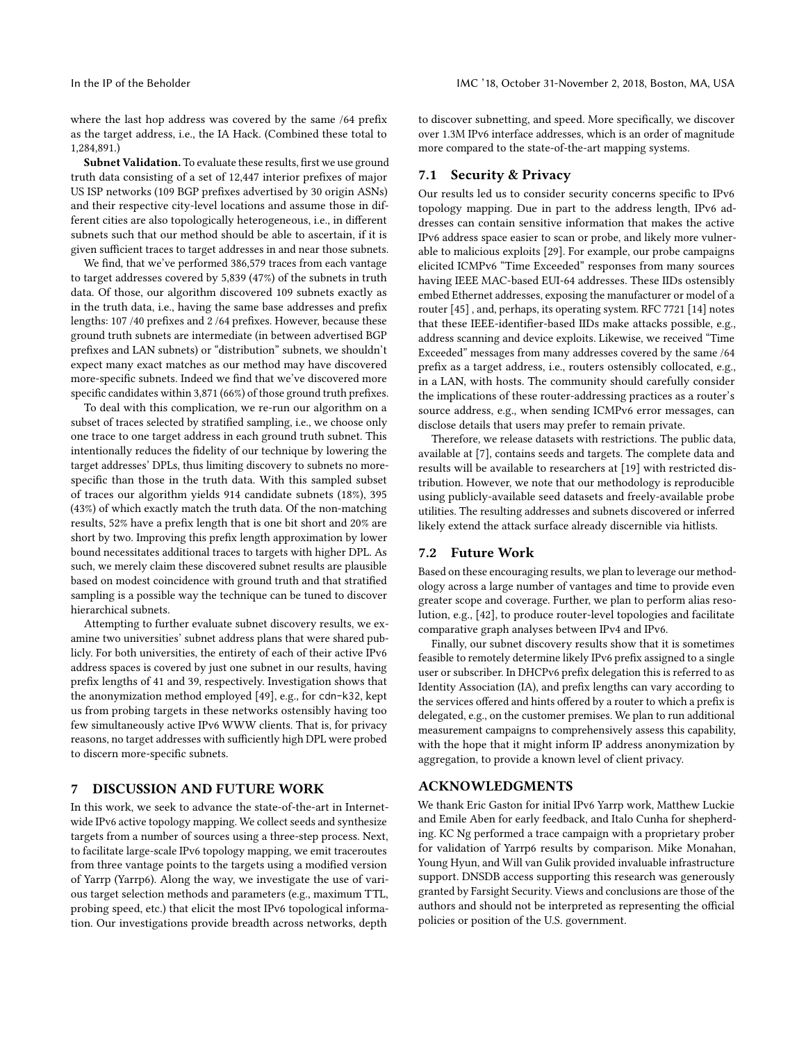where the last hop address was covered by the same /64 prefix as the target address, i.e., the IA Hack. (Combined these total to 1,284,891.)

Subnet Validation. To evaluate these results, first we use ground truth data consisting of a set of 12,447 interior prefixes of major US ISP networks (109 BGP prefixes advertised by 30 origin ASNs) and their respective city-level locations and assume those in different cities are also topologically heterogeneous, i.e., in different subnets such that our method should be able to ascertain, if it is given sufficient traces to target addresses in and near those subnets.

We find, that we've performed 386,579 traces from each vantage to target addresses covered by 5,839 (47%) of the subnets in truth data. Of those, our algorithm discovered 109 subnets exactly as in the truth data, i.e., having the same base addresses and prefix lengths: 107 /40 prefixes and 2 /64 prefixes. However, because these ground truth subnets are intermediate (in between advertised BGP prefixes and LAN subnets) or "distribution" subnets, we shouldn't expect many exact matches as our method may have discovered more-specific subnets. Indeed we find that we've discovered more specific candidates within 3,871 (66%) of those ground truth prefixes.

To deal with this complication, we re-run our algorithm on a subset of traces selected by stratified sampling, i.e., we choose only one trace to one target address in each ground truth subnet. This intentionally reduces the fidelity of our technique by lowering the target addresses' DPLs, thus limiting discovery to subnets no morespecific than those in the truth data. With this sampled subset of traces our algorithm yields 914 candidate subnets (18%), 395 (43%) of which exactly match the truth data. Of the non-matching results, 52% have a prefix length that is one bit short and 20% are short by two. Improving this prefix length approximation by lower bound necessitates additional traces to targets with higher DPL. As such, we merely claim these discovered subnet results are plausible based on modest coincidence with ground truth and that stratified sampling is a possible way the technique can be tuned to discover hierarchical subnets.

Attempting to further evaluate subnet discovery results, we examine two universities' subnet address plans that were shared publicly. For both universities, the entirety of each of their active IPv6 address spaces is covered by just one subnet in our results, having prefix lengths of 41 and 39, respectively. Investigation shows that the anonymization method employed [\[49\]](#page-13-5), e.g., for cdn-k32, kept us from probing targets in these networks ostensibly having too few simultaneously active IPv6 WWW clients. That is, for privacy reasons, no target addresses with sufficiently high DPL were probed to discern more-specific subnets.

# <span id="page-12-0"></span>7 DISCUSSION AND FUTURE WORK

In this work, we seek to advance the state-of-the-art in Internetwide IPv6 active topology mapping. We collect seeds and synthesize targets from a number of sources using a three-step process. Next, to facilitate large-scale IPv6 topology mapping, we emit traceroutes from three vantage points to the targets using a modified version of Yarrp (Yarrp6). Along the way, we investigate the use of various target selection methods and parameters (e.g., maximum TTL, probing speed, etc.) that elicit the most IPv6 topological information. Our investigations provide breadth across networks, depth

to discover subnetting, and speed. More specifically, we discover over 1.3M IPv6 interface addresses, which is an order of magnitude more compared to the state-of-the-art mapping systems.

#### 7.1 Security & Privacy

Our results led us to consider security concerns specific to IPv6 topology mapping. Due in part to the address length, IPv6 addresses can contain sensitive information that makes the active IPv6 address space easier to scan or probe, and likely more vulnerable to malicious exploits [\[29\]](#page-13-40). For example, our probe campaigns elicited ICMPv6 "Time Exceeded" responses from many sources having IEEE MAC-based EUI-64 addresses. These IIDs ostensibly embed Ethernet addresses, exposing the manufacturer or model of a router [\[45\]](#page-13-57) , and, perhaps, its operating system. RFC 7721 [\[14\]](#page-13-58) notes that these IEEE-identifier-based IIDs make attacks possible, e.g., address scanning and device exploits. Likewise, we received "Time Exceeded" messages from many addresses covered by the same /64 prefix as a target address, i.e., routers ostensibly collocated, e.g., in a LAN, with hosts. The community should carefully consider the implications of these router-addressing practices as a router's source address, e.g., when sending ICMPv6 error messages, can disclose details that users may prefer to remain private.

Therefore, we release datasets with restrictions. The public data, available at [\[7\]](#page-13-23), contains seeds and targets. The complete data and results will be available to researchers at [\[19\]](#page-13-59) with restricted distribution. However, we note that our methodology is reproducible using publicly-available seed datasets and freely-available probe utilities. The resulting addresses and subnets discovered or inferred likely extend the attack surface already discernible via hitlists.

#### 7.2 Future Work

Based on these encouraging results, we plan to leverage our methodology across a large number of vantages and time to provide even greater scope and coverage. Further, we plan to perform alias resolution, e.g., [\[42\]](#page-13-34), to produce router-level topologies and facilitate comparative graph analyses between IPv4 and IPv6.

Finally, our subnet discovery results show that it is sometimes feasible to remotely determine likely IPv6 prefix assigned to a single user or subscriber. In DHCPv6 prefix delegation this is referred to as Identity Association (IA), and prefix lengths can vary according to the services offered and hints offered by a router to which a prefix is delegated, e.g., on the customer premises. We plan to run additional measurement campaigns to comprehensively assess this capability, with the hope that it might inform IP address anonymization by aggregation, to provide a known level of client privacy.

## ACKNOWLEDGMENTS

We thank Eric Gaston for initial IPv6 Yarrp work, Matthew Luckie and Emile Aben for early feedback, and Italo Cunha for shepherding. KC Ng performed a trace campaign with a proprietary prober for validation of Yarrp6 results by comparison. Mike Monahan, Young Hyun, and Will van Gulik provided invaluable infrastructure support. DNSDB access supporting this research was generously granted by Farsight Security. Views and conclusions are those of the authors and should not be interpreted as representing the official policies or position of the U.S. government.